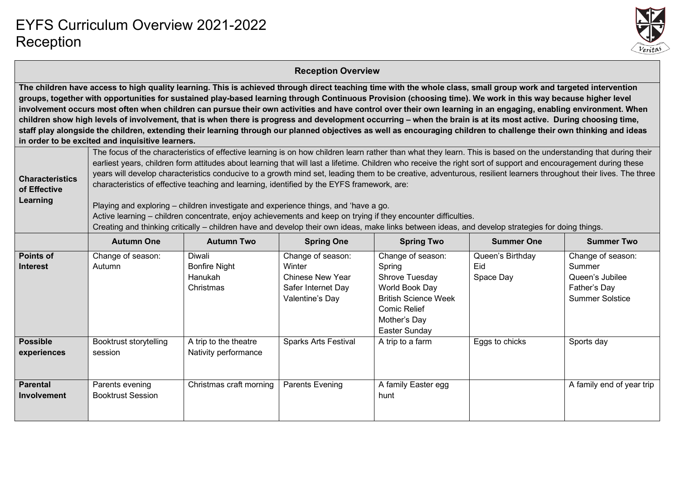

#### **Reception Overview**

**The children have access to high quality learning. This is achieved through direct teaching time with the whole class, small group work and targeted intervention groups, together with opportunities for sustained play-based learning through Continuous Provision (choosing time). We work in this way because higher level involvement occurs most often when children can pursue their own activities and have control over their own learning in an engaging, enabling environment. When children show high levels of involvement, that is when there is progress and development occurring – when the brain is at its most active. During choosing time, staff play alongside the children, extending their learning through our planned objectives as well as encouraging children to challenge their own thinking and ideas in order to be excited and inquisitive learners.**

| <b>Characteristics</b><br>of Effective<br>Learning | The focus of the characteristics of effective learning is on how children learn rather than what they learn. This is based on the understanding that during their<br>earliest years, children form attitudes about learning that will last a lifetime. Children who receive the right sort of support and encouragement during these<br>years will develop characteristics conducive to a growth mind set, leading them to be creative, adventurous, resilient learners throughout their lives. The three<br>characteristics of effective teaching and learning, identified by the EYFS framework, are:<br>Playing and exploring – children investigate and experience things, and 'have a go.<br>Active learning – children concentrate, enjoy achievements and keep on trying if they encounter difficulties.<br>Creating and thinking critically – children have and develop their own ideas, make links between ideas, and develop strategies for doing things. |                                                               |                                                                                                 |                                                                                                                                                        |                                      |                                                                                          |  |  |  |
|----------------------------------------------------|---------------------------------------------------------------------------------------------------------------------------------------------------------------------------------------------------------------------------------------------------------------------------------------------------------------------------------------------------------------------------------------------------------------------------------------------------------------------------------------------------------------------------------------------------------------------------------------------------------------------------------------------------------------------------------------------------------------------------------------------------------------------------------------------------------------------------------------------------------------------------------------------------------------------------------------------------------------------|---------------------------------------------------------------|-------------------------------------------------------------------------------------------------|--------------------------------------------------------------------------------------------------------------------------------------------------------|--------------------------------------|------------------------------------------------------------------------------------------|--|--|--|
|                                                    | <b>Autumn One</b>                                                                                                                                                                                                                                                                                                                                                                                                                                                                                                                                                                                                                                                                                                                                                                                                                                                                                                                                                   | <b>Autumn Two</b>                                             | <b>Spring One</b>                                                                               | <b>Spring Two</b>                                                                                                                                      | <b>Summer One</b>                    | <b>Summer Two</b>                                                                        |  |  |  |
| <b>Points of</b><br><b>Interest</b>                | Change of season:<br>Autumn                                                                                                                                                                                                                                                                                                                                                                                                                                                                                                                                                                                                                                                                                                                                                                                                                                                                                                                                         | <b>Diwali</b><br><b>Bonfire Night</b><br>Hanukah<br>Christmas | Change of season:<br>Winter<br><b>Chinese New Year</b><br>Safer Internet Day<br>Valentine's Day | Change of season:<br>Spring<br>Shrove Tuesday<br>World Book Day<br><b>British Science Week</b><br><b>Comic Relief</b><br>Mother's Day<br>Easter Sunday | Queen's Birthday<br>Eid<br>Space Day | Change of season:<br>Summer<br>Queen's Jubilee<br>Father's Day<br><b>Summer Solstice</b> |  |  |  |
| <b>Possible</b><br>experiences                     | Booktrust storytelling<br>session                                                                                                                                                                                                                                                                                                                                                                                                                                                                                                                                                                                                                                                                                                                                                                                                                                                                                                                                   | A trip to the theatre<br>Nativity performance                 | <b>Sparks Arts Festival</b>                                                                     | A trip to a farm                                                                                                                                       | Eggs to chicks                       | Sports day                                                                               |  |  |  |
| <b>Parental</b><br>Involvement                     | Parents Evening<br>A family Easter egg<br>A family end of year trip<br>Christmas craft morning<br>Parents evening<br><b>Booktrust Session</b><br>hunt                                                                                                                                                                                                                                                                                                                                                                                                                                                                                                                                                                                                                                                                                                                                                                                                               |                                                               |                                                                                                 |                                                                                                                                                        |                                      |                                                                                          |  |  |  |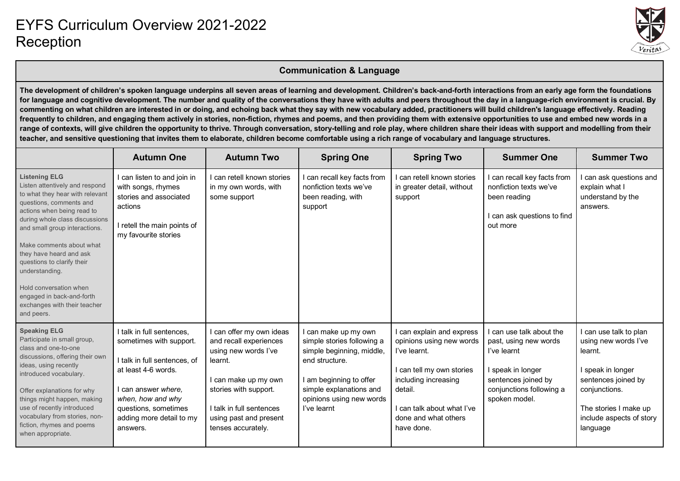

#### **Communication & Language**

**The development of children's spoken language underpins all seven areas of learning and development. Children's back-and-forth interactions from an early age form the foundations for language and cognitive development. The number and quality of the conversations they have with adults and peers throughout the day in a language-rich environment is crucial. By commenting on what children are interested in or doing, and echoing back what they say with new vocabulary added, practitioners will build children's language effectively. Reading frequently to children, and engaging them actively in stories, non-fiction, rhymes and poems, and then providing them with extensive opportunities to use and embed new words in a range of contexts, will give children the opportunity to thrive. Through conversation, story-telling and role play, where children share their ideas with support and modelling from their teacher, and sensitive questioning that invites them to elaborate, children become comfortable using a rich range of vocabulary and language structures.**

|                                                                                                                                                                                                                                                                                                                                                                                                                                   | <b>Autumn One</b>                                                                                                                                                                                                       | <b>Autumn Two</b>                                                                                                                                                                                                  | <b>Spring One</b>                                                                                                                                                                                | <b>Spring Two</b>                                                                                                                                                                                         | <b>Summer One</b>                                                                                                                                     | <b>Summer Two</b>                                                                                                                                                                     |
|-----------------------------------------------------------------------------------------------------------------------------------------------------------------------------------------------------------------------------------------------------------------------------------------------------------------------------------------------------------------------------------------------------------------------------------|-------------------------------------------------------------------------------------------------------------------------------------------------------------------------------------------------------------------------|--------------------------------------------------------------------------------------------------------------------------------------------------------------------------------------------------------------------|--------------------------------------------------------------------------------------------------------------------------------------------------------------------------------------------------|-----------------------------------------------------------------------------------------------------------------------------------------------------------------------------------------------------------|-------------------------------------------------------------------------------------------------------------------------------------------------------|---------------------------------------------------------------------------------------------------------------------------------------------------------------------------------------|
| <b>Listening ELG</b><br>Listen attentively and respond<br>to what they hear with relevant<br>questions, comments and<br>actions when being read to<br>during whole class discussions<br>and small group interactions.<br>Make comments about what<br>they have heard and ask<br>questions to clarify their<br>understanding.<br>Hold conversation when<br>engaged in back-and-forth<br>exchanges with their teacher<br>and peers. | I can listen to and join in<br>with songs, rhymes<br>stories and associated<br>actions<br>I retell the main points of<br>my favourite stories                                                                           | I can retell known stories<br>in my own words, with<br>some support                                                                                                                                                | can recall key facts from<br>nonfiction texts we've<br>been reading, with<br>support                                                                                                             | I can retell known stories<br>in greater detail, without<br>support                                                                                                                                       | can recall key facts from<br>nonfiction texts we've<br>been reading<br>can ask questions to find<br>out more                                          | can ask questions and<br>explain what I<br>understand by the<br>answers.                                                                                                              |
| <b>Speaking ELG</b><br>Participate in small group,<br>class and one-to-one<br>discussions, offering their own<br>ideas, using recently<br>introduced vocabulary.<br>Offer explanations for why<br>things might happen, making<br>use of recently introduced<br>vocabulary from stories, non-<br>fiction, rhymes and poems<br>when appropriate.                                                                                    | I talk in full sentences,<br>sometimes with support.<br>I talk in full sentences, of<br>at least 4-6 words.<br>I can answer where,<br>when, how and why<br>questions, sometimes<br>adding more detail to my<br>answers. | I can offer my own ideas<br>and recall experiences<br>using new words I've<br>learnt.<br>I can make up my own<br>stories with support.<br>I talk in full sentences<br>using past and present<br>tenses accurately. | can make up my own<br>simple stories following a<br>simple beginning, middle,<br>end structure.<br>I am beginning to offer<br>simple explanations and<br>opinions using new words<br>l've learnt | I can explain and express<br>opinions using new words<br>I've learnt.<br>I can tell my own stories<br>including increasing<br>detail.<br>I can talk about what I've<br>done and what others<br>have done. | can use talk about the<br>past, using new words<br>l've learnt<br>speak in longer<br>sentences joined by<br>conjunctions following a<br>spoken model. | can use talk to plan<br>using new words I've<br>learnt.<br>I speak in longer<br>sentences joined by<br>conjunctions.<br>The stories I make up<br>include aspects of story<br>language |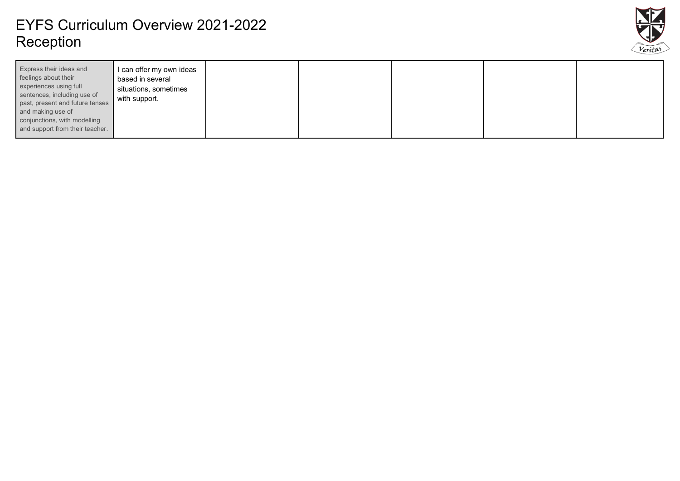

| <b>Express their ideas and</b><br>I can offer my own ideas<br>feelings about their<br>based in several<br>experiences using full<br>situations, sometimes<br>sentences, including use of<br>with support.<br>past, present and future tenses<br>and making use of<br>conjunctions, with modelling<br>and support from their teacher. |  |  |  |  |
|--------------------------------------------------------------------------------------------------------------------------------------------------------------------------------------------------------------------------------------------------------------------------------------------------------------------------------------|--|--|--|--|
|--------------------------------------------------------------------------------------------------------------------------------------------------------------------------------------------------------------------------------------------------------------------------------------------------------------------------------------|--|--|--|--|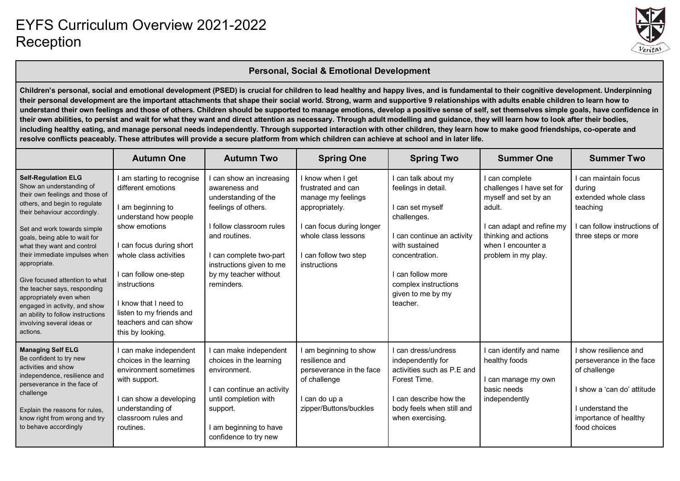

#### **Personal, Social & Emotional Development**

**Children's personal, social and emotional development (PSED) is crucial for children to lead healthy and happy lives, and is fundamental to their cognitive development. Underpinning their personal development are the important attachments that shape their social world. Strong, warm and supportive 9 relationships with adults enable children to learn how to understand their own feelings and those of others. Children should be supported to manage emotions, develop a positive sense of self, set themselves simple goals, have confidence in their own abilities, to persist and wait for what they want and direct attention as necessary. Through adult modelling and guidance, they will learn how to look after their bodies, including healthy eating, and manage personal needs independently. Through supported interaction with other children, they learn how to make good friendships, co-operate and resolve conflicts peaceably. These attributes will provide a secure platform from which children can achieve at school and in later life.**

|                                                                                                                                                                                                                                                                                                                                                                                                                                                                                                                        | <b>Autumn One</b>                                                                                                                                                                                                                                                                                                | <b>Autumn Two</b>                                                                                                                                                                                                                   | <b>Spring One</b>                                                                                                                                                            | <b>Spring Two</b>                                                                                                                                                                                                             | <b>Summer One</b>                                                                                                                                                           | <b>Summer Two</b>                                                                                                                                            |
|------------------------------------------------------------------------------------------------------------------------------------------------------------------------------------------------------------------------------------------------------------------------------------------------------------------------------------------------------------------------------------------------------------------------------------------------------------------------------------------------------------------------|------------------------------------------------------------------------------------------------------------------------------------------------------------------------------------------------------------------------------------------------------------------------------------------------------------------|-------------------------------------------------------------------------------------------------------------------------------------------------------------------------------------------------------------------------------------|------------------------------------------------------------------------------------------------------------------------------------------------------------------------------|-------------------------------------------------------------------------------------------------------------------------------------------------------------------------------------------------------------------------------|-----------------------------------------------------------------------------------------------------------------------------------------------------------------------------|--------------------------------------------------------------------------------------------------------------------------------------------------------------|
| <b>Self-Regulation ELG</b><br>Show an understanding of<br>their own feelings and those of<br>others, and begin to regulate<br>their behaviour accordingly.<br>Set and work towards simple<br>goals, being able to wait for<br>what they want and control<br>their immediate impulses when<br>appropriate.<br>Give focused attention to what<br>the teacher says, responding<br>appropriately even when<br>engaged in activity, and show<br>an ability to follow instructions<br>involving several ideas or<br>actions. | I am starting to recognise<br>different emotions<br>I am beginning to<br>understand how people<br>show emotions<br>I can focus during short<br>whole class activities<br>I can follow one-step<br>instructions<br>I know that I need to<br>listen to my friends and<br>teachers and can show<br>this by looking. | I can show an increasing<br>awareness and<br>understanding of the<br>feelings of others.<br>I follow classroom rules<br>and routines.<br>I can complete two-part<br>instructions given to me<br>by my teacher without<br>reminders. | I know when I get<br>frustrated and can<br>manage my feelings<br>appropriately.<br>I can focus during longer<br>whole class lessons<br>I can follow two step<br>instructions | I can talk about my<br>feelings in detail.<br>I can set myself<br>challenges.<br>I can continue an activity<br>with sustained<br>concentration.<br>I can follow more<br>complex instructions<br>given to me by my<br>teacher. | can complete<br>challenges I have set for<br>myself and set by an<br>adult.<br>can adapt and refine my<br>thinking and actions<br>when I encounter a<br>problem in my play. | I can maintain focus<br>during<br>extended whole class<br>teaching<br>I can follow instructions of<br>three steps or more                                    |
| <b>Managing Self ELG</b><br>Be confident to try new<br>activities and show<br>independence, resilience and<br>perseverance in the face of<br>challenge<br>Explain the reasons for rules,<br>know right from wrong and try<br>to behave accordingly                                                                                                                                                                                                                                                                     | I can make independent<br>choices in the learning<br>environment sometimes<br>with support.<br>I can show a developing<br>understanding of<br>classroom rules and<br>routines.                                                                                                                                   | I can make independent<br>choices in the learning<br>environment.<br>I can continue an activity<br>until completion with<br>support.<br>I am beginning to have<br>confidence to try new                                             | I am beginning to show<br>resilience and<br>perseverance in the face<br>of challenge<br>I can do up a<br>zipper/Buttons/buckles                                              | I can dress/undress<br>independently for<br>activities such as P.E and<br>Forest Time.<br>I can describe how the<br>body feels when still and<br>when exercising.                                                             | can identify and name<br>healthy foods<br>can manage my own<br>basic needs<br>independently                                                                                 | I show resilience and<br>perseverance in the face<br>of challenge<br>I show a 'can do' attitude<br>I understand the<br>importance of healthy<br>food choices |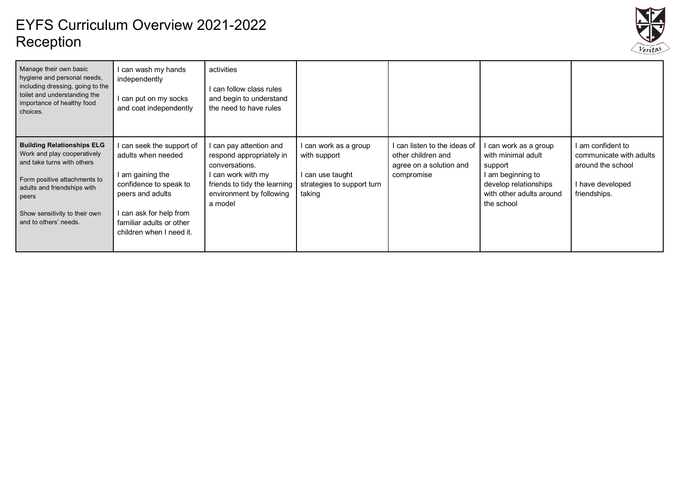

| Manage their own basic<br>hygiene and personal needs,<br>including dressing, going to the<br>toilet and understanding the<br>importance of healthy food<br>choices.                                                              | can wash my hands<br>independently<br>can put on my socks<br>and coat independently                                                                                                              | activities<br>can follow class rules<br>and begin to understand<br>the need to have rules                                                                        |                                                                                                   |                                                                                           |                                                                                                                                              |                                                                                                       |
|----------------------------------------------------------------------------------------------------------------------------------------------------------------------------------------------------------------------------------|--------------------------------------------------------------------------------------------------------------------------------------------------------------------------------------------------|------------------------------------------------------------------------------------------------------------------------------------------------------------------|---------------------------------------------------------------------------------------------------|-------------------------------------------------------------------------------------------|----------------------------------------------------------------------------------------------------------------------------------------------|-------------------------------------------------------------------------------------------------------|
| <b>Building Relationships ELG</b><br>Work and play cooperatively<br>and take turns with others<br>Form positive attachments to<br>adults and friendships with<br>peers<br>Show sensitivity to their own<br>and to others' needs. | can seek the support of<br>adults when needed<br>I am gaining the<br>confidence to speak to<br>peers and adults<br>can ask for help from<br>familiar adults or other<br>children when I need it. | can pay attention and<br>respond appropriately in<br>conversations.<br>l can work with my<br>friends to tidy the learning<br>environment by following<br>a model | l can work as a group<br>with support<br>I can use taught<br>strategies to support turn<br>taking | can listen to the ideas of<br>other children and<br>agree on a solution and<br>compromise | can work as a group<br>with minimal adult<br>support<br>l am beginning to<br>develop relationships<br>with other adults around<br>the school | ∣ am confident to<br>communicate with adults<br>around the school<br>I have developed<br>friendships. |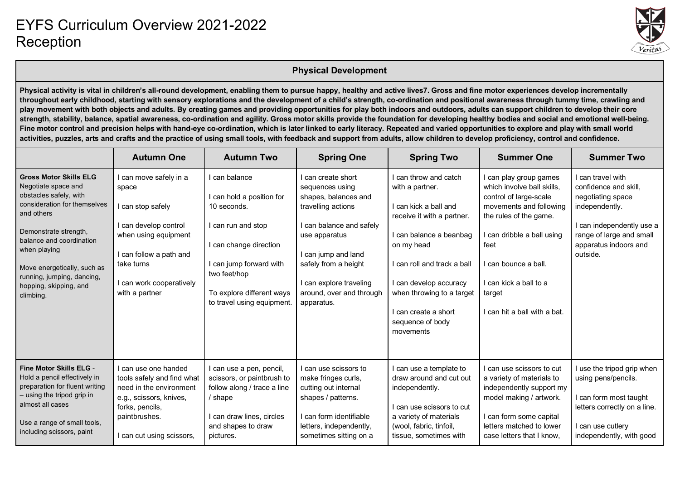

#### **Physical Development**

**Physical activity is vital in children's all-round development, enabling them to pursue happy, healthy and active lives7. Gross and fine motor experiences develop incrementally throughout early childhood, starting with sensory explorations and the development of a child's strength, co-ordination and positional awareness through tummy time, crawling and play movement with both objects and adults. By creating games and providing opportunities for play both indoors and outdoors, adults can support children to develop their core**  strength, stability, balance, spatial awareness, co-ordination and agility. Gross motor skills provide the foundation for developing healthy bodies and social and emotional well-being. Fine motor control and precision helps with hand-eye co-ordination, which is later linked to early literacy. Repeated and varied opportunities to explore and play with small world **activities, puzzles, arts and crafts and the practice of using small tools, with feedback and support from adults, allow children to develop proficiency, control and confidence.**

|                                                                                                                                                                                                                                                                                                       | <b>Autumn One</b>                                                                                                                                                                  | <b>Autumn Two</b>                                                                                                                                                                                               | <b>Spring One</b>                                                                                                                                                                                                                                    | <b>Spring Two</b>                                                                                                                                                                                                                                                                       | <b>Summer One</b>                                                                                                                                                                                                                                           | <b>Summer Two</b>                                                                                                                                                               |
|-------------------------------------------------------------------------------------------------------------------------------------------------------------------------------------------------------------------------------------------------------------------------------------------------------|------------------------------------------------------------------------------------------------------------------------------------------------------------------------------------|-----------------------------------------------------------------------------------------------------------------------------------------------------------------------------------------------------------------|------------------------------------------------------------------------------------------------------------------------------------------------------------------------------------------------------------------------------------------------------|-----------------------------------------------------------------------------------------------------------------------------------------------------------------------------------------------------------------------------------------------------------------------------------------|-------------------------------------------------------------------------------------------------------------------------------------------------------------------------------------------------------------------------------------------------------------|---------------------------------------------------------------------------------------------------------------------------------------------------------------------------------|
| <b>Gross Motor Skills ELG</b><br>Negotiate space and<br>obstacles safely, with<br>consideration for themselves<br>and others<br>Demonstrate strength,<br>balance and coordination<br>when playing<br>Move energetically, such as<br>running, jumping, dancing,<br>hopping, skipping, and<br>climbing. | can move safely in a<br>space<br>can stop safely<br>can develop control<br>when using equipment<br>can follow a path and<br>take turns<br>can work cooperatively<br>with a partner | I can balance<br>I can hold a position for<br>10 seconds.<br>I can run and stop<br>I can change direction<br>I can jump forward with<br>two feet/hop<br>To explore different ways<br>to travel using equipment. | I can create short<br>sequences using<br>shapes, balances and<br>travelling actions<br>I can balance and safely<br>use apparatus<br>I can jump and land<br>safely from a height<br>I can explore traveling<br>around, over and through<br>apparatus. | I can throw and catch<br>with a partner.<br>I can kick a ball and<br>receive it with a partner.<br>I can balance a beanbag<br>on my head<br>I can roll and track a ball<br>I can develop accuracy<br>when throwing to a target<br>I can create a short<br>sequence of body<br>movements | can play group games<br>which involve ball skills.<br>control of large-scale<br>movements and following<br>the rules of the game.<br>can dribble a ball using<br>feet<br>can bounce a ball.<br>can kick a ball to a<br>target<br>can hit a ball with a bat. | I can travel with<br>confidence and skill,<br>negotiating space<br>independently.<br>I can independently use a<br>range of large and small<br>apparatus indoors and<br>outside. |
| Fine Motor Skills ELG -<br>Hold a pencil effectively in<br>preparation for fluent writing<br>- using the tripod grip in<br>almost all cases<br>Use a range of small tools,<br>including scissors, paint                                                                                               | I can use one handed<br>tools safely and find what<br>need in the environment<br>e.g., scissors, knives,<br>forks, pencils,<br>paintbrushes.<br>can cut using scissors,            | I can use a pen, pencil,<br>scissors, or paintbrush to<br>follow along / trace a line<br>/ shape<br>I can draw lines, circles<br>and shapes to draw<br>pictures.                                                | I can use scissors to<br>make fringes curls,<br>cutting out internal<br>shapes / patterns.<br>I can form identifiable<br>letters, independently,<br>sometimes sitting on a                                                                           | I can use a template to<br>draw around and cut out<br>independently.<br>I can use scissors to cut<br>a variety of materials<br>(wool, fabric, tinfoil,<br>tissue, sometimes with                                                                                                        | can use scissors to cut<br>a variety of materials to<br>independently support my<br>model making / artwork.<br>can form some capital<br>letters matched to lower<br>case letters that I know,                                                               | I use the tripod grip when<br>using pens/pencils.<br>can form most taught<br>letters correctly on a line.<br>I can use cutlery<br>independently, with good                      |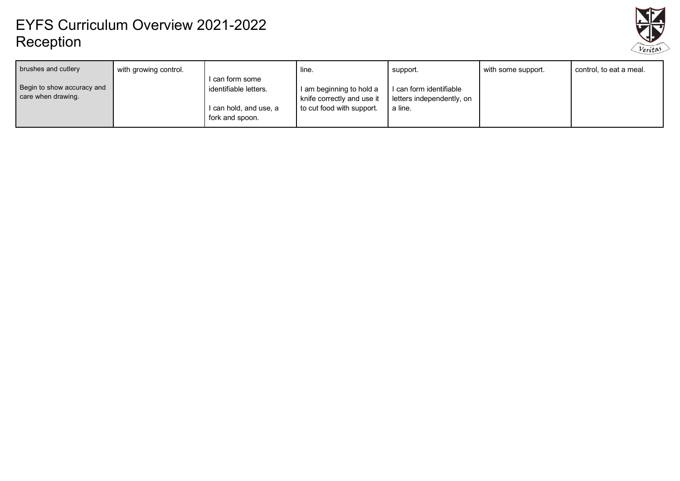

| brushes and cutlery                              | with growing control. |                                                                                       | line.                                                                               | support.                                                        | with some support. | control, to eat a meal. |
|--------------------------------------------------|-----------------------|---------------------------------------------------------------------------------------|-------------------------------------------------------------------------------------|-----------------------------------------------------------------|--------------------|-------------------------|
| Begin to show accuracy and<br>care when drawing. |                       | l can form some<br>identifiable letters.<br>I can hold, and use, a<br>fork and spoon. | I am beginning to hold a<br>knife correctly and use it<br>to cut food with support. | I can form identifiable<br>letters independently, on<br>a line. |                    |                         |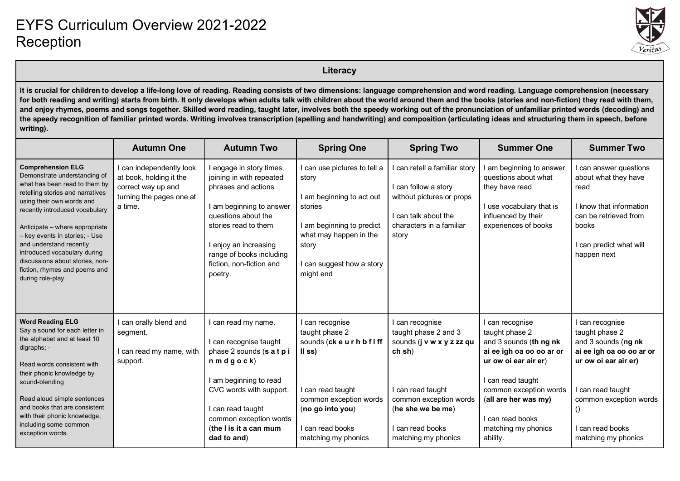

**Literacy**

**It is crucial for children to develop a life-long love of reading. Reading consists of two dimensions: language comprehension and word reading. Language comprehension (necessary**  for both reading and writing) starts from birth. It only develops when adults talk with children about the world around them and the books (stories and non-fiction) they read with them, **and enjoy rhymes, poems and songs together. Skilled word reading, taught later, involves both the speedy working out of the pronunciation of unfamiliar printed words (decoding) and the speedy recognition of familiar printed words. Writing involves transcription (spelling and handwriting) and composition (articulating ideas and structuring them in speech, before writing).**

|                                                                                                                                                                                                                                                                                                                                                                                                                      | <b>Autumn One</b>                                                                                                | <b>Autumn Two</b>                                                                                                                                                                                                                                  | <b>Spring One</b>                                                                                                                                                               | <b>Spring Two</b>                                                                                                                                                                             | <b>Summer One</b>                                                                                                                                                                                                                           | <b>Summer Two</b>                                                                                                                                                                                                          |
|----------------------------------------------------------------------------------------------------------------------------------------------------------------------------------------------------------------------------------------------------------------------------------------------------------------------------------------------------------------------------------------------------------------------|------------------------------------------------------------------------------------------------------------------|----------------------------------------------------------------------------------------------------------------------------------------------------------------------------------------------------------------------------------------------------|---------------------------------------------------------------------------------------------------------------------------------------------------------------------------------|-----------------------------------------------------------------------------------------------------------------------------------------------------------------------------------------------|---------------------------------------------------------------------------------------------------------------------------------------------------------------------------------------------------------------------------------------------|----------------------------------------------------------------------------------------------------------------------------------------------------------------------------------------------------------------------------|
| <b>Comprehension ELG</b><br>Demonstrate understanding of<br>what has been read to them by<br>retelling stories and narratives<br>using their own words and<br>recently introduced vocabulary<br>Anticipate – where appropriate<br>- key events in stories; - Use<br>and understand recently<br>introduced vocabulary during<br>discussions about stories, non-<br>fiction, rhymes and poems and<br>during role-play. | I can independently look<br>at book, holding it the<br>correct way up and<br>turning the pages one at<br>a time. | I engage in story times,<br>joining in with repeated<br>phrases and actions<br>I am beginning to answer<br>questions about the<br>stories read to them<br>I enjoy an increasing<br>range of books including<br>fiction, non-fiction and<br>poetry. | can use pictures to tell a<br>story<br>am beginning to act out<br>stories<br>am beginning to predict<br>what may happen in the<br>story<br>can suggest how a story<br>might end | I can retell a familiar story<br>I can follow a story<br>without pictures or props<br>I can talk about the<br>characters in a familiar<br>story                                               | am beginning to answer<br>questions about what<br>they have read<br>I use vocabulary that is<br>influenced by their<br>experiences of books                                                                                                 | I can answer questions<br>about what they have<br>read<br>I know that information<br>can be retrieved from<br>books<br>I can predict what will<br>happen next                                                              |
| <b>Word Reading ELG</b><br>Say a sound for each letter in<br>the alphabet and at least 10<br>digraphs; -<br>Read words consistent with<br>their phonic knowledge by<br>sound-blending<br>Read aloud simple sentences<br>and books that are consistent<br>with their phonic knowledge,<br>including some common<br>exception words.                                                                                   | I can orally blend and<br>segment.<br>I can read my name, with<br>support.                                       | I can read my name.<br>I can recognise taught<br>phase 2 sounds (s a t p i<br>n m d g o c k<br>I am beginning to read<br>CVC words with support.<br>I can read taught<br>common exception words<br>(the I is it a can mum<br>dad to and)           | can recognise<br>taught phase 2<br>sounds (ckeurhbflff<br>II ss)<br>can read taught<br>common exception words<br>(no go into you)<br>can read books<br>matching my phonics      | I can recognise<br>taught phase 2 and 3<br>sounds (j v w x y z zz qu<br>ch sh)<br>I can read taught<br>common exception words<br>(he she we be me)<br>I can read books<br>matching my phonics | can recognise<br>taught phase 2<br>and 3 sounds (th ng nk<br>ai ee igh oa oo oo ar or<br>ur ow oi ear air er)<br>I can read taught<br>common exception words<br>(all are her was my)<br>I can read books<br>matching my phonics<br>ability. | I can recognise<br>taught phase 2<br>and 3 sounds (ng nk<br>ai ee igh oa oo oo ar or<br>ur ow oi ear air er)<br>I can read taught<br>common exception words<br>$\left( \right)$<br>I can read books<br>matching my phonics |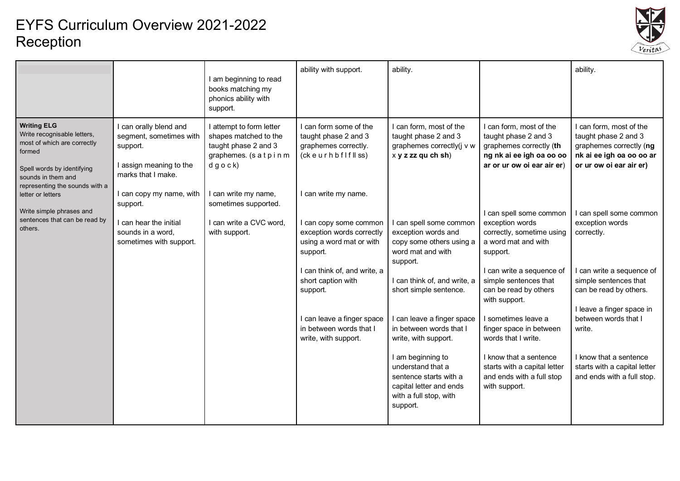

|                                                                                                                                                                                                                                   |                                                                                                                                                        | I am beginning to read<br>books matching my<br>phonics ability with<br>support.                                                                                       | ability with support.                                                                                                                                         | ability.                                                                                                                                                                                               |                                                                                                                                                                                                            | ability.                                                                                                                                                              |
|-----------------------------------------------------------------------------------------------------------------------------------------------------------------------------------------------------------------------------------|--------------------------------------------------------------------------------------------------------------------------------------------------------|-----------------------------------------------------------------------------------------------------------------------------------------------------------------------|---------------------------------------------------------------------------------------------------------------------------------------------------------------|--------------------------------------------------------------------------------------------------------------------------------------------------------------------------------------------------------|------------------------------------------------------------------------------------------------------------------------------------------------------------------------------------------------------------|-----------------------------------------------------------------------------------------------------------------------------------------------------------------------|
| <b>Writing ELG</b><br>Write recognisable letters,<br>most of which are correctly<br>formed<br>Spell words by identifying<br>sounds in them and<br>representing the sounds with a<br>letter or letters<br>Write simple phrases and | I can orally blend and<br>segment, sometimes with<br>support.<br>I assign meaning to the<br>marks that I make.<br>I can copy my name, with<br>support. | I attempt to form letter<br>shapes matched to the<br>taught phase 2 and 3<br>graphemes. (s a t p i n m<br>$dg$ o c k)<br>I can write my name,<br>sometimes supported. | I can form some of the<br>taught phase 2 and 3<br>graphemes correctly.<br>$(ck$ e urh b f l f $ll$ ss)<br>I can write my name.                                | I can form, most of the<br>taught phase 2 and 3<br>graphemes correctly(j v w<br>x y z zz qu ch sh)                                                                                                     | can form, most of the<br>taught phase 2 and 3<br>graphemes correctly (th<br>ng nk ai ee igh oa oo oo<br>ar or ur ow oi ear air er)                                                                         | I can form, most of the<br>taught phase 2 and 3<br>graphemes correctly (ng<br>nk ai ee igh oa oo oo ar<br>or ur ow oi ear air er)                                     |
| sentences that can be read by<br>others.                                                                                                                                                                                          | I can hear the initial<br>sounds in a word,<br>sometimes with support.                                                                                 | I can write a CVC word,<br>with support.                                                                                                                              | I can copy some common<br>exception words correctly<br>using a word mat or with<br>support.<br>I can think of, and write, a<br>short caption with<br>support. | I can spell some common<br>exception words and<br>copy some others using a<br>word mat and with<br>support.<br>I can think of, and write, a<br>short simple sentence.                                  | I can spell some common<br>exception words<br>correctly, sometime using<br>a word mat and with<br>support.<br>I can write a sequence of<br>simple sentences that<br>can be read by others<br>with support. | I can spell some common<br>exception words<br>correctly.<br>I can write a sequence of<br>simple sentences that<br>can be read by others.<br>I leave a finger space in |
|                                                                                                                                                                                                                                   |                                                                                                                                                        |                                                                                                                                                                       | I can leave a finger space<br>in between words that I<br>write, with support.                                                                                 | I can leave a finger space<br>in between words that I<br>write, with support.<br>I am beginning to<br>understand that a<br>sentence starts with a<br>capital letter and ends<br>with a full stop, with | I sometimes leave a<br>finger space in between<br>words that I write.<br>I know that a sentence<br>starts with a capital letter<br>and ends with a full stop<br>with support.                              | between words that I<br>write.<br>I know that a sentence<br>starts with a capital letter<br>and ends with a full stop.                                                |
|                                                                                                                                                                                                                                   |                                                                                                                                                        |                                                                                                                                                                       |                                                                                                                                                               | support.                                                                                                                                                                                               |                                                                                                                                                                                                            |                                                                                                                                                                       |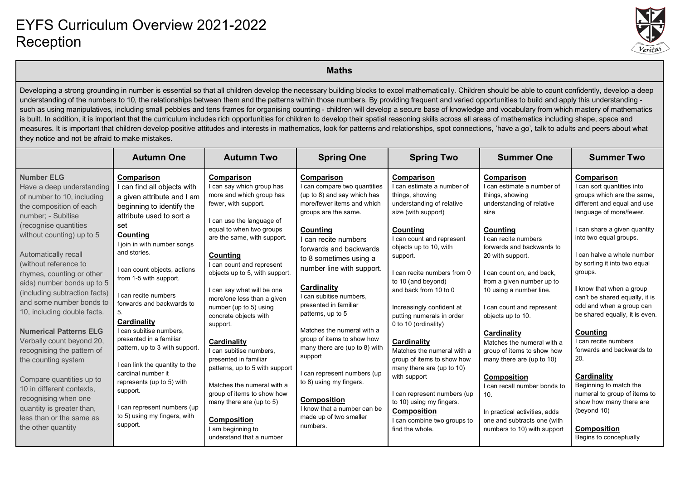

#### **Maths**

Developing a strong grounding in number is essential so that all children develop the necessary building blocks to excel mathematically. Children should be able to count confidently, develop a deep understanding of the numbers to 10, the relationships between them and the patterns within those numbers. By providing frequent and varied opportunities to build and apply this understanding such as using manipulatives, including small pebbles and tens frames for organising counting - children will develop a secure base of knowledge and vocabulary from which mastery of mathematics is built. In addition, it is important that the curriculum includes rich opportunities for children to develop their spatial reasoning skills across all areas of mathematics including shape, space and measures. It is important that children develop positive attitudes and interests in mathematics, look for patterns and relationships, spot connections, 'have a go', talk to adults and peers about what they notice and not be afraid to make mistakes.

|                                                                                                                                                                                                                                                                                                                                                                                                                                                                                                                                                                                                                                                                                | <b>Autumn One</b>                                                                                                                                                                                                                                                                                                                                                                                                                                                                                                                                                                                                 | <b>Autumn Two</b>                                                                                                                                                                                                                                                                                                                                                                                                                                                                                                                                                                                                                                                    | <b>Spring One</b>                                                                                                                                                                                                                                                                                                                                                                                                                                                                                                                                                                                                | <b>Spring Two</b>                                                                                                                                                                                                                                                                                                                                                                                                                                                                                                                                                                                                         | <b>Summer One</b>                                                                                                                                                                                                                                                                                                                                                                                                                                                                                                                                                                         | <b>Summer Two</b>                                                                                                                                                                                                                                                                                                                                                                                                                                                                                                                                                                                                                          |
|--------------------------------------------------------------------------------------------------------------------------------------------------------------------------------------------------------------------------------------------------------------------------------------------------------------------------------------------------------------------------------------------------------------------------------------------------------------------------------------------------------------------------------------------------------------------------------------------------------------------------------------------------------------------------------|-------------------------------------------------------------------------------------------------------------------------------------------------------------------------------------------------------------------------------------------------------------------------------------------------------------------------------------------------------------------------------------------------------------------------------------------------------------------------------------------------------------------------------------------------------------------------------------------------------------------|----------------------------------------------------------------------------------------------------------------------------------------------------------------------------------------------------------------------------------------------------------------------------------------------------------------------------------------------------------------------------------------------------------------------------------------------------------------------------------------------------------------------------------------------------------------------------------------------------------------------------------------------------------------------|------------------------------------------------------------------------------------------------------------------------------------------------------------------------------------------------------------------------------------------------------------------------------------------------------------------------------------------------------------------------------------------------------------------------------------------------------------------------------------------------------------------------------------------------------------------------------------------------------------------|---------------------------------------------------------------------------------------------------------------------------------------------------------------------------------------------------------------------------------------------------------------------------------------------------------------------------------------------------------------------------------------------------------------------------------------------------------------------------------------------------------------------------------------------------------------------------------------------------------------------------|-------------------------------------------------------------------------------------------------------------------------------------------------------------------------------------------------------------------------------------------------------------------------------------------------------------------------------------------------------------------------------------------------------------------------------------------------------------------------------------------------------------------------------------------------------------------------------------------|--------------------------------------------------------------------------------------------------------------------------------------------------------------------------------------------------------------------------------------------------------------------------------------------------------------------------------------------------------------------------------------------------------------------------------------------------------------------------------------------------------------------------------------------------------------------------------------------------------------------------------------------|
| <b>Number ELG</b><br>Have a deep understanding<br>of number to 10, including<br>the composition of each<br>number; - Subitise<br>(recognise quantities<br>without counting) up to 5<br>Automatically recall<br>(without reference to<br>rhymes, counting or other<br>aids) number bonds up to 5<br>(including subtraction facts)<br>and some number bonds to<br>10, including double facts.<br><b>Numerical Patterns ELG</b><br>Verbally count beyond 20,<br>recognising the pattern of<br>the counting system<br>Compare quantities up to<br>10 in different contexts.<br>recognising when one<br>quantity is greater than,<br>less than or the same as<br>the other quantity | <b>Comparison</b><br>I can find all objects with<br>a given attribute and I am<br>beginning to identify the<br>attribute used to sort a<br>set<br>Counting<br>I join in with number songs<br>and stories.<br>I can count objects, actions<br>from 1-5 with support.<br>I can recite numbers<br>forwards and backwards to<br>5.<br>Cardinality<br>I can subitise numbers,<br>presented in a familiar<br>pattern, up to 3 with support.<br>I can link the quantity to the<br>cardinal number it<br>represents (up to 5) with<br>support.<br>I can represent numbers (up<br>to 5) using my fingers, with<br>support. | <b>Comparison</b><br>I can say which group has<br>more and which group has<br>fewer, with support.<br>I can use the language of<br>equal to when two groups<br>are the same, with support.<br>Counting<br>I can count and represent<br>objects up to 5, with support.<br>I can say what will be one<br>more/one less than a given<br>number (up to 5) using<br>concrete objects with<br>support.<br>Cardinality<br>I can subitise numbers.<br>presented in familiar<br>patterns, up to 5 with support<br>Matches the numeral with a<br>group of items to show how<br>many there are (up to 5)<br><b>Composition</b><br>I am beginning to<br>understand that a number | <b>Comparison</b><br>I can compare two quantities<br>(up to 8) and say which has<br>more/fewer items and which<br>groups are the same.<br>Counting<br>I can recite numbers<br>forwards and backwards<br>to 8 sometimes using a<br>number line with support.<br>Cardinality<br>I can subitise numbers,<br>presented in familiar<br>patterns, up to 5<br>Matches the numeral with a<br>group of items to show how<br>many there are (up to 8) with<br>support<br>I can represent numbers (up<br>to 8) using my fingers.<br><b>Composition</b><br>I know that a number can be<br>made up of two smaller<br>numbers. | Comparison<br>I can estimate a number of<br>things, showing<br>understanding of relative<br>size (with support)<br>Counting<br>I can count and represent<br>objects up to 10, with<br>support.<br>I can recite numbers from 0<br>to 10 (and beyond)<br>and back from 10 to 0<br>Increasingly confident at<br>putting numerals in order<br>0 to 10 (ordinality)<br>Cardinality<br>Matches the numeral with a<br>group of items to show how<br>many there are (up to 10)<br>with support<br>I can represent numbers (up<br>to 10) using my fingers.<br><b>Composition</b><br>I can combine two groups to<br>find the whole. | Comparison<br>I can estimate a number of<br>things, showing<br>understanding of relative<br>size<br>Counting<br>I can recite numbers<br>forwards and backwards to<br>20 with support.<br>I can count on, and back,<br>from a given number up to<br>10 using a number line.<br>I can count and represent<br>objects up to 10.<br>Cardinality<br>Matches the numeral with a<br>group of items to show how<br>many there are (up to 10)<br>Composition<br>I can recall number bonds to<br>10.<br>In practical activities, adds<br>one and subtracts one (with<br>numbers to 10) with support | Comparison<br>I can sort quantities into<br>groups which are the same,<br>different and equal and use<br>language of more/fewer.<br>I can share a given quantity<br>into two equal groups.<br>I can halve a whole number<br>by sorting it into two equal<br>groups.<br>I know that when a group<br>can't be shared equally, it is<br>odd and when a group can<br>be shared equally, it is even.<br>Counting<br>I can recite numbers<br>forwards and backwards to<br>20.<br>Cardinality<br>Beginning to match the<br>numeral to group of items to<br>show how many there are<br>(beyond 10)<br><b>Composition</b><br>Begins to conceptually |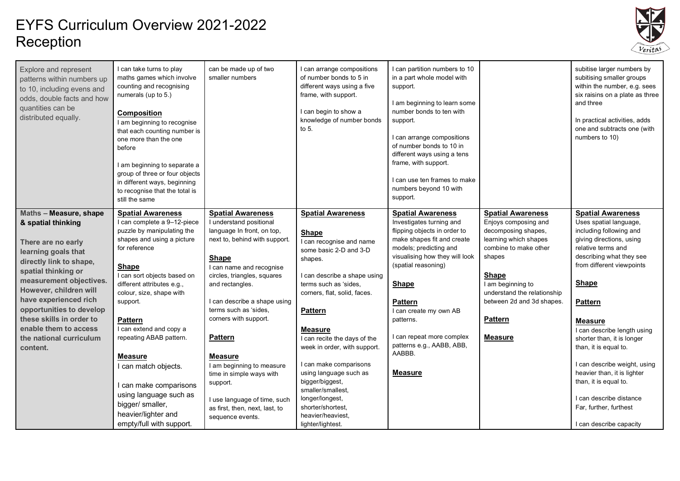

| Explore and represent<br>patterns within numbers up<br>to 10, including evens and<br>odds, double facts and how<br>quantities can be<br>distributed equally.                                                                                                                                                            | I can take turns to play<br>maths games which involve<br>counting and recognising<br>numerals (up to 5.)<br>Composition<br>I am beginning to recognise<br>that each counting number is<br>one more than the one<br>before<br>I am beginning to separate a<br>group of three or four objects<br>in different ways, beginning<br>to recognise that the total is<br>still the same                                                                                            | can be made up of two<br>smaller numbers                                                                                                                                                                                                                                                                                                                                                                                                                              | I can arrange compositions<br>of number bonds to 5 in<br>different ways using a five<br>frame, with support.<br>I can begin to show a<br>knowledge of number bonds<br>to 5.                                                                                                                                                                                                                                                                       | I can partition numbers to 10<br>in a part whole model with<br>support.<br>I am beginning to learn some<br>number bonds to ten with<br>support.<br>I can arrange compositions<br>of number bonds to 10 in<br>different ways using a tens<br>frame, with support.<br>I can use ten frames to make<br>numbers beyond 10 with<br>support.   |                                                                                                                                                                                                                                              | subitise larger numbers by<br>subitising smaller groups<br>within the number, e.g. sees<br>six raisins on a plate as three<br>and three<br>In practical activities, adds<br>one and subtracts one (with<br>numbers to 10)                                                                                                                                                                                                                                                      |
|-------------------------------------------------------------------------------------------------------------------------------------------------------------------------------------------------------------------------------------------------------------------------------------------------------------------------|----------------------------------------------------------------------------------------------------------------------------------------------------------------------------------------------------------------------------------------------------------------------------------------------------------------------------------------------------------------------------------------------------------------------------------------------------------------------------|-----------------------------------------------------------------------------------------------------------------------------------------------------------------------------------------------------------------------------------------------------------------------------------------------------------------------------------------------------------------------------------------------------------------------------------------------------------------------|---------------------------------------------------------------------------------------------------------------------------------------------------------------------------------------------------------------------------------------------------------------------------------------------------------------------------------------------------------------------------------------------------------------------------------------------------|------------------------------------------------------------------------------------------------------------------------------------------------------------------------------------------------------------------------------------------------------------------------------------------------------------------------------------------|----------------------------------------------------------------------------------------------------------------------------------------------------------------------------------------------------------------------------------------------|--------------------------------------------------------------------------------------------------------------------------------------------------------------------------------------------------------------------------------------------------------------------------------------------------------------------------------------------------------------------------------------------------------------------------------------------------------------------------------|
| Maths - Measure, shape                                                                                                                                                                                                                                                                                                  | <b>Spatial Awareness</b>                                                                                                                                                                                                                                                                                                                                                                                                                                                   | <b>Spatial Awareness</b>                                                                                                                                                                                                                                                                                                                                                                                                                                              | <b>Spatial Awareness</b>                                                                                                                                                                                                                                                                                                                                                                                                                          | <b>Spatial Awareness</b>                                                                                                                                                                                                                                                                                                                 | <b>Spatial Awareness</b>                                                                                                                                                                                                                     | <b>Spatial Awareness</b>                                                                                                                                                                                                                                                                                                                                                                                                                                                       |
| & spatial thinking<br>There are no early<br>learning goals that<br>directly link to shape,<br>spatial thinking or<br>measurement objectives.<br>However, children will<br>have experienced rich<br>opportunities to develop<br>these skills in order to<br>enable them to access<br>the national curriculum<br>content. | I can complete a 9-12-piece<br>puzzle by manipulating the<br>shapes and using a picture<br>for reference<br><b>Shape</b><br>I can sort objects based on<br>different attributes e.g.,<br>colour, size, shape with<br>support.<br><b>Pattern</b><br>I can extend and copy a<br>repeating ABAB pattern.<br><b>Measure</b><br>I can match objects.<br>I can make comparisons<br>using language such as<br>bigger/ smaller,<br>heavier/lighter and<br>empty/full with support. | I understand positional<br>language In front, on top,<br>next to, behind with support.<br><b>Shape</b><br>I can name and recognise<br>circles, triangles, squares<br>and rectangles.<br>I can describe a shape using<br>terms such as 'sides.<br>corners with support.<br><b>Pattern</b><br><b>Measure</b><br>I am beginning to measure<br>time in simple ways with<br>support.<br>I use language of time, such<br>as first, then, next, last, to<br>sequence events. | <b>Shape</b><br>I can recognise and name<br>some basic 2-D and 3-D<br>shapes.<br>I can describe a shape using<br>terms such as 'sides,<br>corners, flat, solid, faces.<br><b>Pattern</b><br>Measure<br>I can recite the days of the<br>week in order, with support.<br>I can make comparisons<br>using language such as<br>bigger/biggest,<br>smaller/smallest,<br>longer/longest,<br>shorter/shortest,<br>heavier/heaviest,<br>lighter/lightest. | Investigates turning and<br>flipping objects in order to<br>make shapes fit and create<br>models; predicting and<br>visualising how they will look<br>(spatial reasoning)<br><b>Shape</b><br><b>Pattern</b><br>I can create my own AB<br>patterns.<br>I can repeat more complex<br>patterns e.g., AABB, ABB,<br>AABBB.<br><b>Measure</b> | Enjoys composing and<br>decomposing shapes,<br>learning which shapes<br>combine to make other<br>shapes<br><b>Shape</b><br>I am beginning to<br>understand the relationship<br>between 2d and 3d shapes.<br><b>Pattern</b><br><b>Measure</b> | Uses spatial language,<br>including following and<br>giving directions, using<br>relative terms and<br>describing what they see<br>from different viewpoints<br><b>Shape</b><br><b>Pattern</b><br><b>Measure</b><br>I can describe length using<br>shorter than, it is longer<br>than, it is equal to.<br>I can describe weight, using<br>heavier than, it is lighter<br>than, it is equal to.<br>I can describe distance<br>Far, further, furthest<br>I can describe capacity |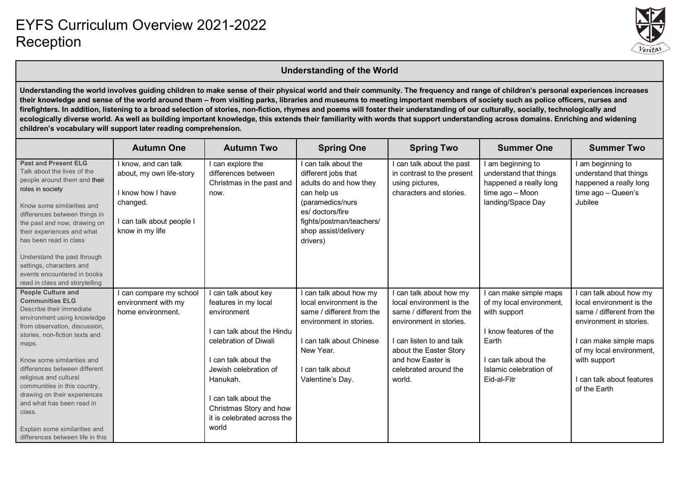

#### **Understanding of the World**

**Understanding the world involves guiding children to make sense of their physical world and their community. The frequency and range of children's personal experiences increases their knowledge and sense of the world around them – from visiting parks, libraries and museums to meeting important members of society such as police officers, nurses and firefighters. In addition, listening to a broad selection of stories, non-fiction, rhymes and poems will foster their understanding of our culturally, socially, technologically and**  ecologically diverse world. As well as building important knowledge, this extends their familiarity with words that support understanding across domains. Enriching and widening **children's vocabulary will support later reading comprehension.**

|                                                                                                                                                                                                                                                                                                                                                                                                                                                                 | <b>Autumn One</b>                                                                                                                 | <b>Autumn Two</b>                                                                                                                                                                                                                                                  | <b>Spring One</b>                                                                                                                                                                            | <b>Spring Two</b>                                                                                                                                                                                                         | <b>Summer One</b>                                                                                                                                                    | <b>Summer Two</b>                                                                                                                                                                                                              |
|-----------------------------------------------------------------------------------------------------------------------------------------------------------------------------------------------------------------------------------------------------------------------------------------------------------------------------------------------------------------------------------------------------------------------------------------------------------------|-----------------------------------------------------------------------------------------------------------------------------------|--------------------------------------------------------------------------------------------------------------------------------------------------------------------------------------------------------------------------------------------------------------------|----------------------------------------------------------------------------------------------------------------------------------------------------------------------------------------------|---------------------------------------------------------------------------------------------------------------------------------------------------------------------------------------------------------------------------|----------------------------------------------------------------------------------------------------------------------------------------------------------------------|--------------------------------------------------------------------------------------------------------------------------------------------------------------------------------------------------------------------------------|
| <b>Past and Present ELG</b><br>Talk about the lives of the<br>people around them and their<br>roles in society<br>Know some similarities and<br>differences between things in<br>the past and now, drawing on<br>their experiences and what<br>has been read in class<br>Understand the past through<br>settings, characters and<br>events encountered in books<br>read in class and storytelling                                                               | I know, and can talk<br>about, my own life-story<br>I know how I have<br>changed.<br>I can talk about people I<br>know in my life | I can explore the<br>differences between<br>Christmas in the past and<br>now.                                                                                                                                                                                      | I can talk about the<br>different jobs that<br>adults do and how they<br>can help us<br>(paramedics/nurs<br>es/ doctors/fire<br>fights/postman/teachers/<br>shop assist/delivery<br>drivers) | can talk about the past<br>in contrast to the present<br>using pictures,<br>characters and stories.                                                                                                                       | am beginning to<br>understand that things<br>happened a really long<br>time ago - Moon<br>landing/Space Day                                                          | am beginning to<br>understand that things<br>happened a really long<br>time ago - Queen's<br>Jubilee                                                                                                                           |
| <b>People Culture and</b><br><b>Communities ELG</b><br>Describe their immediate<br>environment using knowledge<br>from observation, discussion,<br>stories, non-fiction texts and<br>maps.<br>Know some similarities and<br>differences between different<br>religious and cultural<br>communities in this country,<br>drawing on their experiences<br>and what has been read in<br>class.<br>Explain some similarities and<br>differences between life in this | can compare my school<br>environment with my<br>home environment.                                                                 | can talk about key<br>features in my local<br>environment<br>can talk about the Hindu<br>celebration of Diwali<br>can talk about the<br>Jewish celebration of<br>Hanukah.<br>can talk about the<br>Christmas Story and how<br>it is celebrated across the<br>world | I can talk about how my<br>local environment is the<br>same / different from the<br>environment in stories.<br>I can talk about Chinese<br>New Year.<br>I can talk about<br>Valentine's Day. | I can talk about how my<br>local environment is the<br>same / different from the<br>environment in stories.<br>I can listen to and talk<br>about the Easter Story<br>and how Easter is<br>celebrated around the<br>world. | can make simple maps<br>of my local environment,<br>with support<br>I know features of the<br>Earth<br>I can talk about the<br>Islamic celebration of<br>Eid-al-Fitr | I can talk about how my<br>local environment is the<br>same / different from the<br>environment in stories.<br>I can make simple maps<br>of my local environment,<br>with support<br>I can talk about features<br>of the Earth |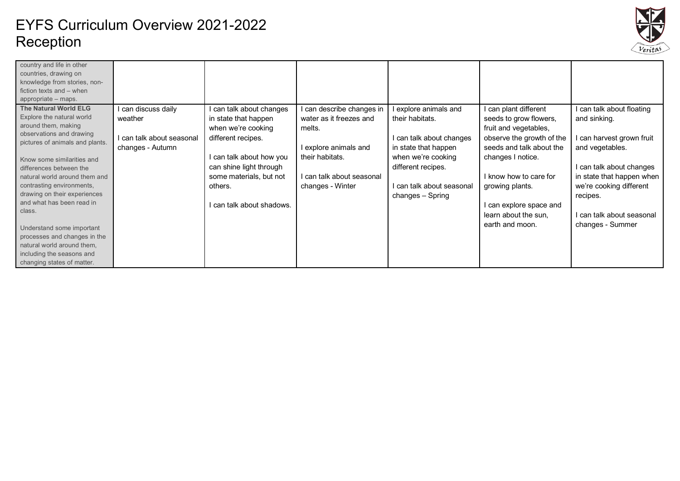

| country and life in other       |                         |                         |                           |                         |                           |                           |
|---------------------------------|-------------------------|-------------------------|---------------------------|-------------------------|---------------------------|---------------------------|
| countries, drawing on           |                         |                         |                           |                         |                           |                           |
|                                 |                         |                         |                           |                         |                           |                           |
| knowledge from stories, non-    |                         |                         |                           |                         |                           |                           |
| fiction texts and - when        |                         |                         |                           |                         |                           |                           |
| appropriate - maps.             |                         |                         |                           |                         |                           |                           |
| The Natural World ELG           | can discuss daily       | can talk about changes  | I can describe changes in | explore animals and     | can plant different       | can talk about floating   |
| Explore the natural world       | weather                 | in state that happen    | water as it freezes and   | their habitats.         | seeds to grow flowers,    | and sinking.              |
| around them, making             |                         | when we're cooking      | melts.                    |                         | fruit and vegetables,     |                           |
| observations and drawing        | can talk about seasonal | different recipes.      |                           | can talk about changes  | observe the growth of the | can harvest grown fruit   |
| pictures of animals and plants. |                         |                         |                           |                         |                           |                           |
|                                 | changes - Autumn        |                         | I explore animals and     | in state that happen    | seeds and talk about the  | and vegetables.           |
| Know some similarities and      |                         | can talk about how you  | their habitats.           | when we're cooking      | changes I notice.         |                           |
| differences between the         |                         | can shine light through |                           | different recipes.      |                           | can talk about changes    |
| natural world around them and   |                         | some materials, but not | I can talk about seasonal |                         | I know how to care for    | in state that happen when |
| contrasting environments,       |                         | others.                 | changes - Winter          | can talk about seasonal | growing plants.           | we're cooking different   |
| drawing on their experiences    |                         |                         |                           | changes - Spring        |                           | recipes.                  |
| and what has been read in       |                         | can talk about shadows. |                           |                         | can explore space and     |                           |
| class.                          |                         |                         |                           |                         | learn about the sun,      | can talk about seasonal   |
|                                 |                         |                         |                           |                         | earth and moon.           | changes - Summer          |
| Understand some important       |                         |                         |                           |                         |                           |                           |
| processes and changes in the    |                         |                         |                           |                         |                           |                           |
| natural world around them.      |                         |                         |                           |                         |                           |                           |
| including the seasons and       |                         |                         |                           |                         |                           |                           |
| changing states of matter.      |                         |                         |                           |                         |                           |                           |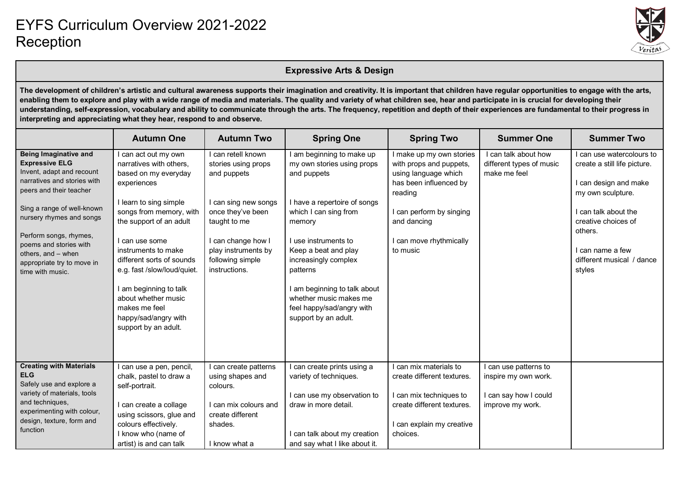

#### **Expressive Arts & Design**

The development of children's artistic and cultural awareness supports their imagination and creativity. It is important that children have regular opportunities to engage with the arts, enabling them to explore and play with a wide range of media and materials. The quality and variety of what children see, hear and participate in is crucial for developing their **understanding, self-expression, vocabulary and ability to communicate through the arts. The frequency, repetition and depth of their experiences are fundamental to their progress in interpreting and appreciating what they hear, respond to and observe.**

|                                                                                                                                                                                                                                                                                                                                    | <b>Autumn One</b>                                                                                                                                                                                                                                                                                                                                                                           | <b>Autumn Two</b>                                                                                                                                                                                       | <b>Spring One</b>                                                                                                                                                                                                                                                                                                                          | <b>Spring Two</b>                                                                                                                                                                                  | <b>Summer One</b>                                                                          | <b>Summer Two</b>                                                                                                                                                                                                    |
|------------------------------------------------------------------------------------------------------------------------------------------------------------------------------------------------------------------------------------------------------------------------------------------------------------------------------------|---------------------------------------------------------------------------------------------------------------------------------------------------------------------------------------------------------------------------------------------------------------------------------------------------------------------------------------------------------------------------------------------|---------------------------------------------------------------------------------------------------------------------------------------------------------------------------------------------------------|--------------------------------------------------------------------------------------------------------------------------------------------------------------------------------------------------------------------------------------------------------------------------------------------------------------------------------------------|----------------------------------------------------------------------------------------------------------------------------------------------------------------------------------------------------|--------------------------------------------------------------------------------------------|----------------------------------------------------------------------------------------------------------------------------------------------------------------------------------------------------------------------|
| <b>Being Imaginative and</b><br><b>Expressive ELG</b><br>Invent, adapt and recount<br>narratives and stories with<br>peers and their teacher<br>Sing a range of well-known<br>nursery rhymes and songs<br>Perform songs, rhymes,<br>poems and stories with<br>others, and - when<br>appropriate try to move in<br>time with music. | can act out my own<br>narratives with others,<br>based on my everyday<br>experiences<br>I learn to sing simple<br>songs from memory, with<br>the support of an adult<br>I can use some<br>instruments to make<br>different sorts of sounds<br>e.g. fast /slow/loud/quiet.<br>I am beginning to talk<br>about whether music<br>makes me feel<br>happy/sad/angry with<br>support by an adult. | l can retell known<br>stories using props<br>and puppets<br>I can sing new songs<br>once they've been<br>taught to me<br>I can change how I<br>play instruments by<br>following simple<br>instructions. | l am beginning to make up<br>my own stories using props<br>and puppets<br>I have a repertoire of songs<br>which I can sing from<br>memory<br>I use instruments to<br>Keep a beat and play<br>increasingly complex<br>patterns<br>am beginning to talk about<br>whether music makes me<br>feel happy/sad/angry with<br>support by an adult. | I make up my own stories<br>with props and puppets,<br>using language which<br>has been influenced by<br>reading<br>I can perform by singing<br>and dancing<br>I can move rhythmically<br>to music | can talk about how<br>different types of music<br>make me feel                             | can use watercolours to<br>create a still life picture.<br>can design and make<br>my own sculpture.<br>can talk about the<br>creative choices of<br>others.<br>can name a few<br>different musical / dance<br>styles |
| <b>Creating with Materials</b><br><b>ELG</b><br>Safely use and explore a<br>variety of materials, tools<br>and techniques,<br>experimenting with colour,<br>design, texture, form and<br>function                                                                                                                                  | I can use a pen, pencil,<br>chalk, pastel to draw a<br>self-portrait.<br>I can create a collage<br>using scissors, glue and<br>colours effectively.<br>I know who (name of<br>artist) is and can talk                                                                                                                                                                                       | I can create patterns<br>using shapes and<br>colours.<br>I can mix colours and<br>create different<br>shades.<br>I know what a                                                                          | can create prints using a<br>variety of techniques.<br>can use my observation to<br>draw in more detail.<br>can talk about my creation<br>and say what I like about it.                                                                                                                                                                    | I can mix materials to<br>create different textures.<br>I can mix techniques to<br>create different textures.<br>I can explain my creative<br>choices.                                             | I can use patterns to<br>inspire my own work.<br>I can say how I could<br>improve my work. |                                                                                                                                                                                                                      |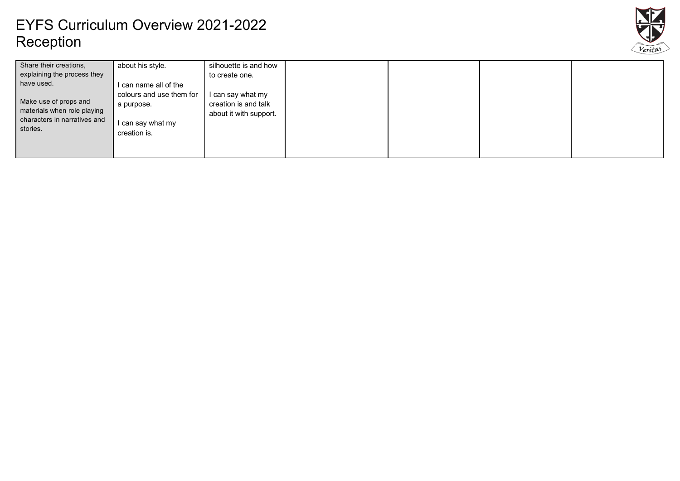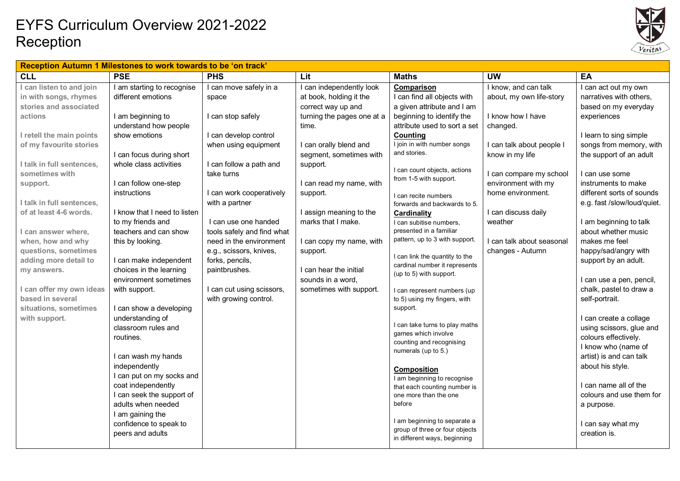

| Reception Autumn 1 Milestones to work towards to be 'on track' |                              |                            |                            |                                |                           |                             |  |
|----------------------------------------------------------------|------------------------------|----------------------------|----------------------------|--------------------------------|---------------------------|-----------------------------|--|
| <b>CLL</b>                                                     | <b>PSE</b>                   | <b>PHS</b>                 | Lit                        | <b>Maths</b>                   | <b>UW</b>                 | EA                          |  |
| I can listen to and join                                       | I am starting to recognise   | I can move safely in a     | I can independently look   | Comparison                     | I know, and can talk      | I can act out my own        |  |
| in with songs, rhymes                                          | different emotions           | space                      | at book, holding it the    | I can find all objects with    | about, my own life-story  | narratives with others,     |  |
| stories and associated                                         |                              |                            | correct way up and         | a given attribute and I am     |                           | based on my everyday        |  |
| actions                                                        | I am beginning to            | I can stop safely          | turning the pages one at a | beginning to identify the      | I know how I have         | experiences                 |  |
|                                                                | understand how people        |                            | time.                      | attribute used to sort a set   | changed.                  |                             |  |
| I retell the main points                                       | show emotions                | I can develop control      |                            | Counting                       |                           | I learn to sing simple      |  |
| of my favourite stories                                        |                              | when using equipment       | I can orally blend and     | I join in with number songs    | I can talk about people I | songs from memory, with     |  |
|                                                                | I can focus during short     |                            | segment, sometimes with    | and stories.                   | know in my life           | the support of an adult     |  |
| I talk in full sentences,                                      | whole class activities       | I can follow a path and    | support.                   | I can count objects, actions   |                           |                             |  |
| sometimes with                                                 |                              | take turns                 |                            | from 1-5 with support.         | I can compare my school   | I can use some              |  |
| support.                                                       | I can follow one-step        |                            | I can read my name, with   |                                | environment with my       | instruments to make         |  |
|                                                                | instructions                 | I can work cooperatively   | support.                   | I can recite numbers           | home environment.         | different sorts of sounds   |  |
| I talk in full sentences,                                      |                              | with a partner             |                            | forwards and backwards to 5.   |                           | e.g. fast /slow/loud/quiet. |  |
| of at least 4-6 words.                                         | I know that I need to listen |                            | I assign meaning to the    | Cardinality                    | I can discuss daily       |                             |  |
|                                                                | to my friends and            | I can use one handed       | marks that I make.         | I can subitise numbers.        | weather                   | I am beginning to talk      |  |
| I can answer where,                                            | teachers and can show        | tools safely and find what |                            | presented in a familiar        |                           | about whether music         |  |
| when, how and why                                              | this by looking.             | need in the environment    | I can copy my name, with   | pattern, up to 3 with support. | I can talk about seasonal | makes me feel               |  |
| questions, sometimes                                           |                              | e.g., scissors, knives,    | support.                   | I can link the quantity to the | changes - Autumn          | happy/sad/angry with        |  |
| adding more detail to                                          | I can make independent       | forks, pencils,            |                            | cardinal number it represents  |                           | support by an adult.        |  |
| my answers.                                                    | choices in the learning      | paintbrushes.              | I can hear the initial     | (up to 5) with support.        |                           |                             |  |
|                                                                | environment sometimes        |                            | sounds in a word.          |                                |                           | I can use a pen, pencil,    |  |
| I can offer my own ideas                                       | with support.                | I can cut using scissors,  | sometimes with support.    | I can represent numbers (up    |                           | chalk, pastel to draw a     |  |
| based in several                                               |                              | with growing control.      |                            | to 5) using my fingers, with   |                           | self-portrait.              |  |
| situations, sometimes                                          | I can show a developing      |                            |                            | support.                       |                           |                             |  |
| with support.                                                  | understanding of             |                            |                            | I can take turns to play maths |                           | I can create a collage      |  |
|                                                                | classroom rules and          |                            |                            | games which involve            |                           | using scissors, glue and    |  |
|                                                                | routines.                    |                            |                            | counting and recognising       |                           | colours effectively.        |  |
|                                                                |                              |                            |                            | numerals (up to 5.)            |                           | I know who (name of         |  |
|                                                                | I can wash my hands          |                            |                            |                                |                           | artist) is and can talk     |  |
|                                                                | independently                |                            |                            | <b>Composition</b>             |                           | about his style.            |  |
|                                                                | I can put on my socks and    |                            |                            | I am beginning to recognise    |                           |                             |  |
|                                                                | coat independently           |                            |                            | that each counting number is   |                           | I can name all of the       |  |
|                                                                | I can seek the support of    |                            |                            | one more than the one          |                           | colours and use them for    |  |
|                                                                | adults when needed           |                            |                            | before                         |                           | a purpose.                  |  |
|                                                                | I am gaining the             |                            |                            | I am beginning to separate a   |                           |                             |  |
|                                                                | confidence to speak to       |                            |                            | group of three or four objects |                           | I can say what my           |  |
|                                                                | peers and adults             |                            |                            | in different ways, beginning   |                           | creation is.                |  |
|                                                                |                              |                            |                            |                                |                           |                             |  |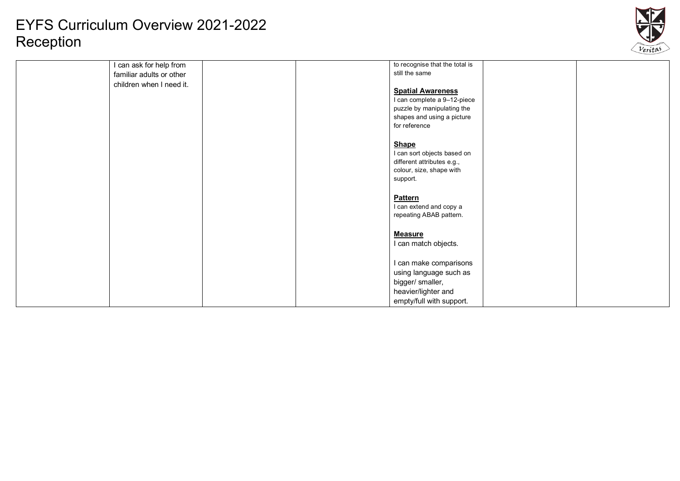

| can ask for help from    | to recognise that the total is |
|--------------------------|--------------------------------|
| familiar adults or other | still the same                 |
| children when I need it. |                                |
|                          | <b>Spatial Awareness</b>       |
|                          | I can complete a 9-12-piece    |
|                          | puzzle by manipulating the     |
|                          | shapes and using a picture     |
|                          | for reference                  |
|                          |                                |
|                          | <b>Shape</b>                   |
|                          |                                |
|                          | I can sort objects based on    |
|                          | different attributes e.g.,     |
|                          | colour, size, shape with       |
|                          | support.                       |
|                          |                                |
|                          | <b>Pattern</b>                 |
|                          | I can extend and copy a        |
|                          | repeating ABAB pattern.        |
|                          |                                |
|                          | <b>Measure</b>                 |
|                          | I can match objects.           |
|                          |                                |
|                          | I can make comparisons         |
|                          |                                |
|                          | using language such as         |
|                          | bigger/ smaller,               |
|                          | heavier/lighter and            |
|                          | empty/full with support.       |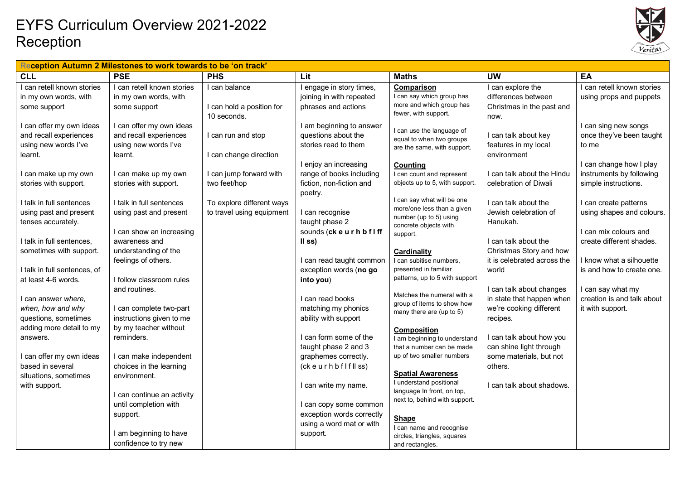

| Reception Autumn 2 Milestones to work towards to be 'on track' |                                                     |                           |                                                      |                                                             |                                                        |                                                       |  |
|----------------------------------------------------------------|-----------------------------------------------------|---------------------------|------------------------------------------------------|-------------------------------------------------------------|--------------------------------------------------------|-------------------------------------------------------|--|
| <b>CLL</b>                                                     | <b>PSE</b>                                          | <b>PHS</b>                | Lit                                                  | <b>Maths</b>                                                | <b>UW</b>                                              | EA                                                    |  |
| I can retell known stories<br>in my own words, with            | I can retell known stories<br>in my own words, with | I can balance             | I engage in story times,<br>joining in with repeated | Comparison<br>I can say which group has                     | I can explore the<br>differences between               | I can retell known stories<br>using props and puppets |  |
| some support                                                   | some support                                        | I can hold a position for | phrases and actions                                  | more and which group has<br>fewer, with support.            | Christmas in the past and                              |                                                       |  |
| I can offer my own ideas                                       | I can offer my own ideas                            | 10 seconds.               |                                                      |                                                             | now.                                                   | I can sing new songs                                  |  |
| and recall experiences                                         | and recall experiences                              | I can run and stop        | I am beginning to answer<br>questions about the      | I can use the language of                                   | I can talk about key                                   | once they've been taught                              |  |
| using new words I've                                           | using new words I've                                |                           | stories read to them                                 | equal to when two groups<br>are the same, with support.     | features in my local                                   | to me                                                 |  |
| learnt.                                                        | learnt.                                             | I can change direction    |                                                      |                                                             | environment                                            |                                                       |  |
|                                                                |                                                     |                           | I enjoy an increasing                                | <b>Counting</b>                                             |                                                        | I can change how I play                               |  |
| I can make up my own                                           | I can make up my own                                | I can jump forward with   | range of books including                             | I can count and represent                                   | I can talk about the Hindu                             | instruments by following                              |  |
| stories with support.                                          | stories with support.                               | two feet/hop              | fiction, non-fiction and<br>poetry.                  | objects up to 5, with support.                              | celebration of Diwali                                  | simple instructions.                                  |  |
| I talk in full sentences                                       | I talk in full sentences                            | To explore different ways |                                                      | I can say what will be one                                  | I can talk about the                                   | I can create patterns                                 |  |
| using past and present                                         | using past and present                              | to travel using equipment | I can recognise                                      | more/one less than a given<br>number (up to 5) using        | Jewish celebration of                                  | using shapes and colours.                             |  |
| tenses accurately.                                             |                                                     |                           | taught phase 2                                       | concrete objects with                                       | Hanukah.                                               |                                                       |  |
|                                                                | I can show an increasing                            |                           | sounds (ckeurhbflff                                  | support.                                                    |                                                        | I can mix colours and                                 |  |
| I talk in full sentences,                                      | awareness and                                       |                           | II ss)                                               |                                                             | I can talk about the                                   | create different shades.                              |  |
| sometimes with support.                                        | understanding of the<br>feelings of others.         |                           | I can read taught common                             | <b>Cardinality</b><br>I can subitise numbers,               | Christmas Story and how<br>it is celebrated across the | I know what a silhouette                              |  |
| I talk in full sentences, of                                   |                                                     |                           | exception words (no go                               | presented in familiar                                       | world                                                  | is and how to create one.                             |  |
| at least 4-6 words.                                            | I follow classroom rules                            |                           | into you)                                            | patterns, up to 5 with support                              |                                                        |                                                       |  |
|                                                                | and routines.                                       |                           |                                                      |                                                             | I can talk about changes                               | I can say what my                                     |  |
| I can answer where,                                            |                                                     |                           | I can read books                                     | Matches the numeral with a<br>group of items to show how    | in state that happen when                              | creation is and talk about                            |  |
| when, how and why                                              | I can complete two-part                             |                           | matching my phonics                                  | many there are (up to 5)                                    | we're cooking different                                | it with support.                                      |  |
| questions, sometimes                                           | instructions given to me                            |                           | ability with support                                 |                                                             | recipes.                                               |                                                       |  |
| adding more detail to my                                       | by my teacher without                               |                           |                                                      | <b>Composition</b>                                          |                                                        |                                                       |  |
| answers.                                                       | reminders.                                          |                           | I can form some of the<br>taught phase 2 and 3       | I am beginning to understand<br>that a number can be made   | l can talk about how you<br>can shine light through    |                                                       |  |
| I can offer my own ideas                                       | I can make independent                              |                           | graphemes correctly.                                 | up of two smaller numbers                                   | some materials, but not                                |                                                       |  |
| based in several                                               | choices in the learning                             |                           | $(ck$ e urh b f l f $ll$ ss)                         |                                                             | others.                                                |                                                       |  |
| situations, sometimes                                          | environment.                                        |                           |                                                      | <b>Spatial Awareness</b>                                    |                                                        |                                                       |  |
| with support.                                                  |                                                     |                           | I can write my name.                                 | I understand positional                                     | I can talk about shadows.                              |                                                       |  |
|                                                                | I can continue an activity                          |                           |                                                      | language In front, on top,<br>next to, behind with support. |                                                        |                                                       |  |
|                                                                | until completion with                               |                           | I can copy some common                               |                                                             |                                                        |                                                       |  |
|                                                                | support.                                            |                           | exception words correctly                            | <b>Shape</b>                                                |                                                        |                                                       |  |
|                                                                | I am beginning to have                              |                           | using a word mat or with                             | I can name and recognise                                    |                                                        |                                                       |  |
|                                                                | confidence to try new                               |                           | support.                                             | circles, triangles, squares                                 |                                                        |                                                       |  |
|                                                                |                                                     |                           |                                                      | and rectangles.                                             |                                                        |                                                       |  |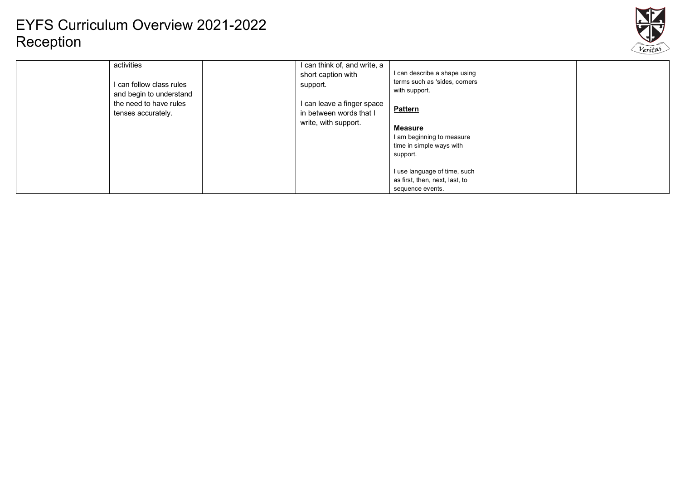

| activities                                        | I can think of, and write, a |                                                               |  |
|---------------------------------------------------|------------------------------|---------------------------------------------------------------|--|
|                                                   | short caption with           | I can describe a shape using<br>terms such as 'sides, corners |  |
| can follow class rules<br>and begin to understand | support.                     | with support.                                                 |  |
| the need to have rules                            | I can leave a finger space   |                                                               |  |
| tenses accurately.                                | in between words that I      | <b>Pattern</b>                                                |  |
|                                                   | write, with support.         | <b>Measure</b>                                                |  |
|                                                   |                              | I am beginning to measure                                     |  |
|                                                   |                              | time in simple ways with<br>support.                          |  |
|                                                   |                              |                                                               |  |
|                                                   |                              | I use language of time, such                                  |  |
|                                                   |                              | as first, then, next, last, to<br>sequence events.            |  |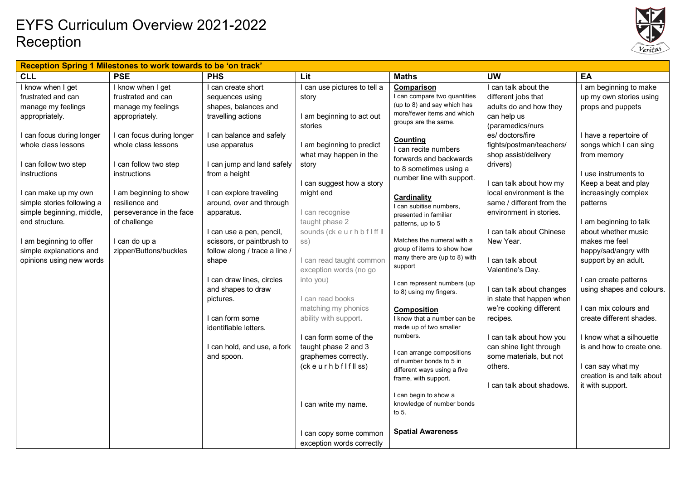

|                            | Reception Spring 1 Milestones to work towards to be 'on track' |                               |                                                     |                                                             |                           |                            |  |
|----------------------------|----------------------------------------------------------------|-------------------------------|-----------------------------------------------------|-------------------------------------------------------------|---------------------------|----------------------------|--|
| <b>CLL</b>                 | <b>PSE</b>                                                     | <b>PHS</b>                    | Lit                                                 | <b>Maths</b>                                                | <b>UW</b>                 | EA                         |  |
| I know when I get          | I know when I get                                              | can create short              | I can use pictures to tell a                        | Comparison                                                  | I can talk about the      | I am beginning to make     |  |
| frustrated and can         | frustrated and can                                             | sequences using               | story                                               | I can compare two quantities                                | different jobs that       | up my own stories using    |  |
| manage my feelings         | manage my feelings                                             | shapes, balances and          |                                                     | (up to 8) and say which has                                 | adults do and how they    | props and puppets          |  |
| appropriately.             | appropriately.                                                 | travelling actions            | I am beginning to act out                           | more/fewer items and which                                  | can help us               |                            |  |
|                            |                                                                |                               | stories                                             | groups are the same.                                        | (paramedics/nurs          |                            |  |
| I can focus during longer  | I can focus during longer                                      | can balance and safely        |                                                     | <b>Counting</b>                                             | es/ doctors/fire          | I have a repertoire of     |  |
| whole class lessons        | whole class lessons                                            | use apparatus                 | I am beginning to predict                           | I can recite numbers                                        | fights/postman/teachers/  | songs which I can sing     |  |
|                            |                                                                |                               | what may happen in the                              | forwards and backwards                                      | shop assist/delivery      | from memory                |  |
| I can follow two step      | I can follow two step                                          | can jump and land safely      | story                                               | to 8 sometimes using a                                      | drivers)                  |                            |  |
| instructions               | instructions                                                   | from a height                 |                                                     | number line with support.                                   |                           | I use instruments to       |  |
|                            |                                                                |                               | I can suggest how a story                           |                                                             | I can talk about how my   | Keep a beat and play       |  |
| I can make up my own       | I am beginning to show                                         | can explore traveling         | might end                                           | Cardinality                                                 | local environment is the  | increasingly complex       |  |
| simple stories following a | resilience and                                                 | around, over and through      |                                                     | I can subitise numbers,                                     | same / different from the | patterns                   |  |
| simple beginning, middle,  | perseverance in the face                                       | apparatus.                    | I can recognise                                     | presented in familiar                                       | environment in stories.   |                            |  |
| end structure.             | of challenge                                                   |                               | taught phase 2                                      | patterns, up to 5                                           |                           | I am beginning to talk     |  |
|                            |                                                                | can use a pen, pencil,        | sounds (ck e u r h b f l ff ll                      |                                                             | I can talk about Chinese  | about whether music        |  |
| I am beginning to offer    | I can do up a                                                  | scissors, or paintbrush to    | SS)                                                 | Matches the numeral with a                                  | New Year.                 | makes me feel              |  |
| simple explanations and    | zipper/Buttons/buckles                                         | follow along / trace a line / |                                                     | group of items to show how<br>many there are (up to 8) with |                           | happy/sad/angry with       |  |
| opinions using new words   |                                                                | shape                         | can read taught commor                              | support                                                     | I can talk about          | support by an adult.       |  |
|                            |                                                                |                               | exception words (no go                              |                                                             | Valentine's Day.          |                            |  |
|                            |                                                                | I can draw lines, circles     | into you)                                           | I can represent numbers (up                                 |                           | I can create patterns      |  |
|                            |                                                                | and shapes to draw            |                                                     | to 8) using my fingers.                                     | I can talk about changes  | using shapes and colours.  |  |
|                            |                                                                | pictures.                     | I can read books                                    |                                                             | in state that happen when |                            |  |
|                            |                                                                |                               | matching my phonics                                 | <b>Composition</b>                                          | we're cooking different   | I can mix colours and      |  |
|                            |                                                                | I can form some               | ability with support.                               | I know that a number can be                                 | recipes.                  | create different shades.   |  |
|                            |                                                                | identifiable letters.         |                                                     | made up of two smaller                                      |                           |                            |  |
|                            |                                                                |                               | I can form some of the                              | numbers.                                                    | I can talk about how you  | I know what a silhouette   |  |
|                            |                                                                | I can hold, and use, a fork   | taught phase 2 and 3                                | I can arrange compositions                                  | can shine light through   | is and how to create one.  |  |
|                            |                                                                | and spoon.                    | graphemes correctly.                                | of number bonds to 5 in                                     | some materials, but not   |                            |  |
|                            |                                                                |                               | $(ck$ e urh b f l f $ll$ ss)                        | different ways using a five                                 | others.                   | I can say what my          |  |
|                            |                                                                |                               |                                                     | frame, with support.                                        |                           | creation is and talk about |  |
|                            |                                                                |                               |                                                     |                                                             | I can talk about shadows. | it with support.           |  |
|                            |                                                                |                               |                                                     | I can begin to show a<br>knowledge of number bonds          |                           |                            |  |
|                            |                                                                |                               | I can write my name.                                | to $5.$                                                     |                           |                            |  |
|                            |                                                                |                               |                                                     |                                                             |                           |                            |  |
|                            |                                                                |                               |                                                     | <b>Spatial Awareness</b>                                    |                           |                            |  |
|                            |                                                                |                               | I can copy some common<br>exception words correctly |                                                             |                           |                            |  |
|                            |                                                                |                               |                                                     |                                                             |                           |                            |  |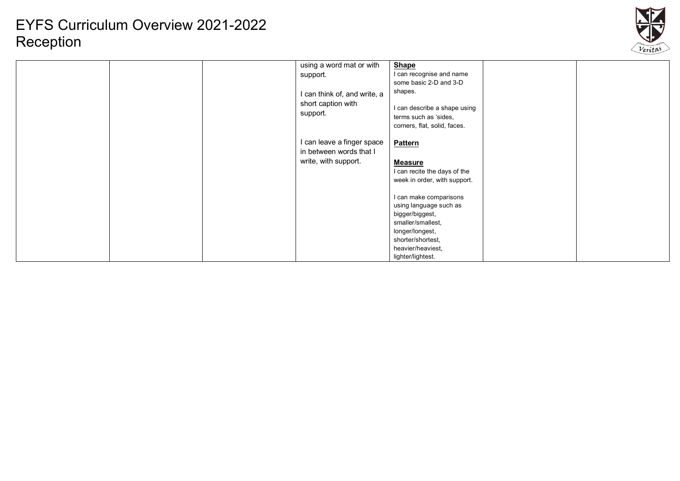

| using a word mat or with<br>support.<br>I can think of, and write, a<br>short caption with<br>support. | <b>Shape</b><br>I can recognise and name<br>some basic 2-D and 3-D<br>shapes.<br>I can describe a shape using<br>terms such as 'sides,<br>corners, flat, solid, faces.     |  |
|--------------------------------------------------------------------------------------------------------|----------------------------------------------------------------------------------------------------------------------------------------------------------------------------|--|
| I can leave a finger space<br>in between words that I<br>write, with support.                          | <b>Pattern</b><br><b>Measure</b><br>I can recite the days of the<br>week in order, with support.                                                                           |  |
|                                                                                                        | I can make comparisons<br>using language such as<br>bigger/biggest,<br>smaller/smallest,<br>longer/longest,<br>shorter/shortest,<br>heavier/heaviest,<br>lighter/lightest. |  |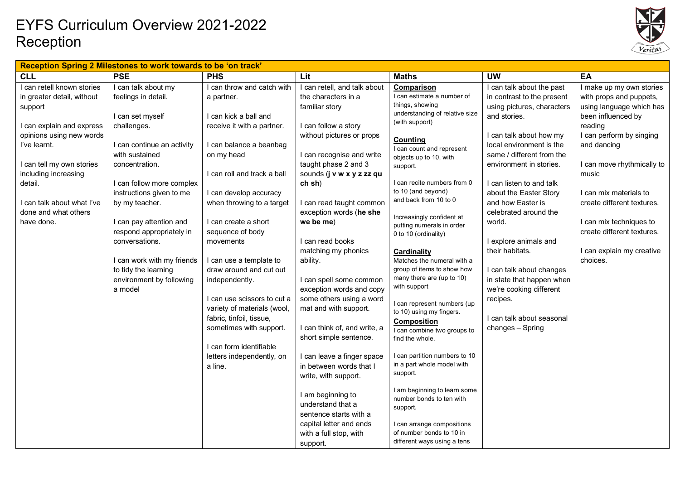

| Reception Spring 2 Milestones to work towards to be 'on track'                                                                                                                                                                                                     |                                                                                                                                                                                                                            |                                                                                                                                                                                                                                                                                                                       |                                                                                                                                                                                                                                                                                                                                                                                                                                                              |                                                                                                                                                                                                                                                                                                                                                                                                                                                                                                                                                          |                                                                                                                                                                                                                                                                                                                          |                                                                                                                                                                                                                                                            |
|--------------------------------------------------------------------------------------------------------------------------------------------------------------------------------------------------------------------------------------------------------------------|----------------------------------------------------------------------------------------------------------------------------------------------------------------------------------------------------------------------------|-----------------------------------------------------------------------------------------------------------------------------------------------------------------------------------------------------------------------------------------------------------------------------------------------------------------------|--------------------------------------------------------------------------------------------------------------------------------------------------------------------------------------------------------------------------------------------------------------------------------------------------------------------------------------------------------------------------------------------------------------------------------------------------------------|----------------------------------------------------------------------------------------------------------------------------------------------------------------------------------------------------------------------------------------------------------------------------------------------------------------------------------------------------------------------------------------------------------------------------------------------------------------------------------------------------------------------------------------------------------|--------------------------------------------------------------------------------------------------------------------------------------------------------------------------------------------------------------------------------------------------------------------------------------------------------------------------|------------------------------------------------------------------------------------------------------------------------------------------------------------------------------------------------------------------------------------------------------------|
| <b>CLL</b>                                                                                                                                                                                                                                                         | <b>PSE</b>                                                                                                                                                                                                                 | <b>PHS</b>                                                                                                                                                                                                                                                                                                            | Lit                                                                                                                                                                                                                                                                                                                                                                                                                                                          | Maths                                                                                                                                                                                                                                                                                                                                                                                                                                                                                                                                                    | <b>UW</b>                                                                                                                                                                                                                                                                                                                | EA                                                                                                                                                                                                                                                         |
| I can retell known stories<br>in greater detail, without<br>support<br>I can explain and express<br>opinions using new words<br>I've learnt.<br>I can tell my own stories<br>including increasing<br>detail.<br>I can talk about what I've<br>done and what others | I can talk about my<br>feelings in detail.<br>I can set myself<br>challenges.<br>I can continue an activity<br>with sustained<br>concentration.<br>I can follow more complex<br>instructions given to me<br>by my teacher. | I can throw and catch with<br>a partner.<br>I can kick a ball and<br>receive it with a partner.<br>I can balance a beanbag<br>on my head<br>I can roll and track a ball<br>I can develop accuracy<br>when throwing to a target                                                                                        | I can retell, and talk about<br>the characters in a<br>familiar story<br>I can follow a story<br>without pictures or props<br>I can recognise and write<br>taught phase 2 and 3<br>sounds (j v w x y z zz qu<br>ch sh)<br>I can read taught common<br>exception words (he she                                                                                                                                                                                | Comparison<br>I can estimate a number of<br>things, showing<br>understanding of relative size<br>(with support)<br>Counting<br>I can count and represent<br>objects up to 10, with<br>support.<br>I can recite numbers from 0<br>to 10 (and beyond)<br>and back from 10 to 0<br>Increasingly confident at                                                                                                                                                                                                                                                | I can talk about the past<br>in contrast to the present<br>using pictures, characters<br>and stories.<br>I can talk about how my<br>local environment is the<br>same / different from the<br>environment in stories.<br>I can listen to and talk<br>about the Easter Story<br>and how Easter is<br>celebrated around the | I make up my own stories<br>with props and puppets,<br>using language which has<br>been influenced by<br>reading<br>I can perform by singing<br>and dancing<br>I can move rhythmically to<br>music<br>I can mix materials to<br>create different textures. |
| have done.                                                                                                                                                                                                                                                         | I can pay attention and<br>respond appropriately in<br>conversations.<br>I can work with my friends<br>to tidy the learning<br>environment by following<br>a model                                                         | I can create a short<br>sequence of body<br>movements<br>I can use a template to<br>draw around and cut out<br>independently.<br>I can use scissors to cut a<br>variety of materials (wool,<br>fabric, tinfoil, tissue,<br>sometimes with support.<br>I can form identifiable<br>letters independently, on<br>a line. | we be me)<br>I can read books<br>matching my phonics<br>ability.<br>I can spell some common<br>exception words and copy<br>some others using a word<br>mat and with support.<br>I can think of, and write, a<br>short simple sentence.<br>I can leave a finger space<br>in between words that I<br>write, with support.<br>I am beginning to<br>understand that a<br>sentence starts with a<br>capital letter and ends<br>with a full stop, with<br>support. | putting numerals in order<br>0 to 10 (ordinality)<br>Cardinality<br>Matches the numeral with a<br>group of items to show how<br>many there are (up to 10)<br>with support<br>I can represent numbers (up<br>to 10) using my fingers.<br><b>Composition</b><br>I can combine two groups to<br>find the whole.<br>I can partition numbers to 10<br>in a part whole model with<br>support.<br>I am beginning to learn some<br>number bonds to ten with<br>support.<br>I can arrange compositions<br>of number bonds to 10 in<br>different ways using a tens | world.<br>I explore animals and<br>their habitats.<br>I can talk about changes<br>in state that happen when<br>we're cooking different<br>recipes.<br>I can talk about seasonal<br>changes - Spring                                                                                                                      | I can mix techniques to<br>create different textures.<br>I can explain my creative<br>choices.                                                                                                                                                             |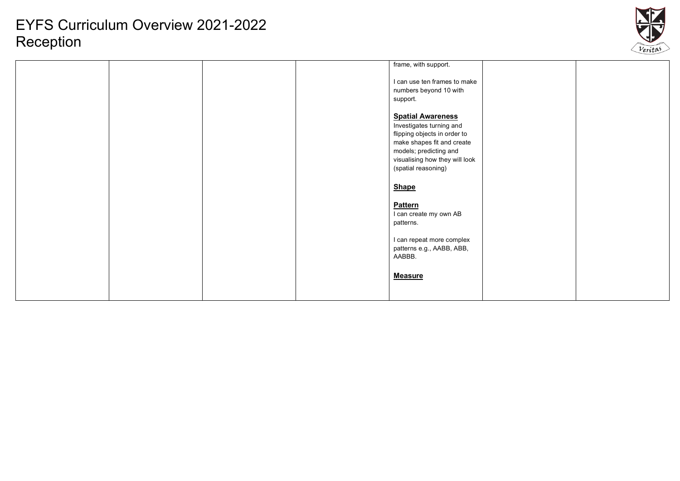

|  |  | frame, with support.           |  |
|--|--|--------------------------------|--|
|  |  |                                |  |
|  |  |                                |  |
|  |  | I can use ten frames to make   |  |
|  |  | numbers beyond 10 with         |  |
|  |  | support.                       |  |
|  |  |                                |  |
|  |  | <b>Spatial Awareness</b>       |  |
|  |  | Investigates turning and       |  |
|  |  |                                |  |
|  |  | flipping objects in order to   |  |
|  |  | make shapes fit and create     |  |
|  |  | models; predicting and         |  |
|  |  | visualising how they will look |  |
|  |  | (spatial reasoning)            |  |
|  |  |                                |  |
|  |  | <b>Shape</b>                   |  |
|  |  |                                |  |
|  |  |                                |  |
|  |  | <b>Pattern</b>                 |  |
|  |  | I can create my own AB         |  |
|  |  | patterns.                      |  |
|  |  |                                |  |
|  |  | I can repeat more complex      |  |
|  |  | patterns e.g., AABB, ABB,      |  |
|  |  | AABBB.                         |  |
|  |  |                                |  |
|  |  |                                |  |
|  |  | <b>Measure</b>                 |  |
|  |  |                                |  |
|  |  |                                |  |
|  |  |                                |  |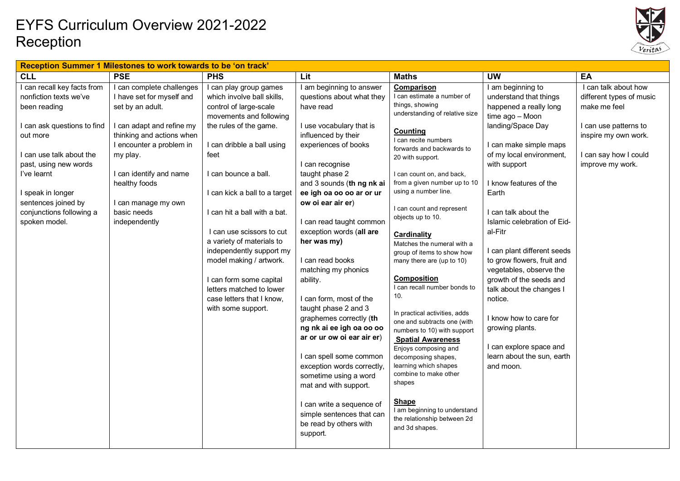

| Reception Summer 1 Milestones to work towards to be 'on track'                                                                                                                                                                                                                |                                                                                                                                                                                                                                                                                 |                                                                                                                                                                                                                                                                                                                                                                                                                                                                                               |                                                                                                                                                                                                                                                                                                                                                                                                                                                                                                                                                                                                                                                                                                                                                   |                                                                                                                                                                                                                                                                                                                                                                                                                                                                                                                                                                                                                                                                                                                                                                                                                                                     |                                                                                                                                                                                                                                                                                                                                                                                                                                                                                                                                                                       |                                                                                                                                                                |
|-------------------------------------------------------------------------------------------------------------------------------------------------------------------------------------------------------------------------------------------------------------------------------|---------------------------------------------------------------------------------------------------------------------------------------------------------------------------------------------------------------------------------------------------------------------------------|-----------------------------------------------------------------------------------------------------------------------------------------------------------------------------------------------------------------------------------------------------------------------------------------------------------------------------------------------------------------------------------------------------------------------------------------------------------------------------------------------|---------------------------------------------------------------------------------------------------------------------------------------------------------------------------------------------------------------------------------------------------------------------------------------------------------------------------------------------------------------------------------------------------------------------------------------------------------------------------------------------------------------------------------------------------------------------------------------------------------------------------------------------------------------------------------------------------------------------------------------------------|-----------------------------------------------------------------------------------------------------------------------------------------------------------------------------------------------------------------------------------------------------------------------------------------------------------------------------------------------------------------------------------------------------------------------------------------------------------------------------------------------------------------------------------------------------------------------------------------------------------------------------------------------------------------------------------------------------------------------------------------------------------------------------------------------------------------------------------------------------|-----------------------------------------------------------------------------------------------------------------------------------------------------------------------------------------------------------------------------------------------------------------------------------------------------------------------------------------------------------------------------------------------------------------------------------------------------------------------------------------------------------------------------------------------------------------------|----------------------------------------------------------------------------------------------------------------------------------------------------------------|
| <b>CLL</b>                                                                                                                                                                                                                                                                    | <b>PSE</b>                                                                                                                                                                                                                                                                      | <b>PHS</b>                                                                                                                                                                                                                                                                                                                                                                                                                                                                                    | Lit                                                                                                                                                                                                                                                                                                                                                                                                                                                                                                                                                                                                                                                                                                                                               | <b>Maths</b>                                                                                                                                                                                                                                                                                                                                                                                                                                                                                                                                                                                                                                                                                                                                                                                                                                        | <b>UW</b>                                                                                                                                                                                                                                                                                                                                                                                                                                                                                                                                                             | EA                                                                                                                                                             |
| I can recall key facts from<br>nonfiction texts we've<br>been reading<br>I can ask questions to find<br>out more<br>I can use talk about the<br>past, using new words<br>l've learnt<br>I speak in longer<br>sentences joined by<br>conjunctions following a<br>spoken model. | I can complete challenges<br>I have set for myself and<br>set by an adult.<br>I can adapt and refine my<br>thinking and actions when<br>I encounter a problem in<br>my play.<br>I can identify and name<br>healthy foods<br>I can manage my own<br>basic needs<br>independently | I can play group games<br>which involve ball skills,<br>control of large-scale<br>movements and following<br>the rules of the game.<br>I can dribble a ball using<br>feet<br>I can bounce a ball.<br>I can kick a ball to a target<br>I can hit a ball with a bat.<br>I can use scissors to cut<br>a variety of materials to<br>independently support my<br>model making / artwork.<br>I can form some capital<br>letters matched to lower<br>case letters that I know,<br>with some support. | I am beginning to answer<br>questions about what they<br>have read<br>I use vocabulary that is<br>influenced by their<br>experiences of books<br>I can recognise<br>taught phase 2<br>and 3 sounds (th ng nk ai<br>ee igh oa oo oo ar or ur<br>ow oi ear air er)<br>I can read taught common<br>exception words (all are<br>her was my)<br>I can read books<br>matching my phonics<br>ability.<br>I can form, most of the<br>taught phase 2 and 3<br>graphemes correctly (th<br>ng nk ai ee igh oa oo oo<br>ar or ur ow oi ear air er)<br>I can spell some common<br>exception words correctly,<br>sometime using a word<br>mat and with support.<br>I can write a sequence of<br>simple sentences that can<br>be read by others with<br>support. | Comparison<br>I can estimate a number of<br>things, showing<br>understanding of relative size<br><b>Counting</b><br>I can recite numbers<br>forwards and backwards to<br>20 with support.<br>I can count on, and back,<br>from a given number up to 10<br>using a number line.<br>I can count and represent<br>objects up to 10.<br><b>Cardinality</b><br>Matches the numeral with a<br>group of items to show how<br>many there are (up to 10)<br><b>Composition</b><br>I can recall number bonds to<br>10.<br>In practical activities, adds<br>one and subtracts one (with<br>numbers to 10) with support<br><b>Spatial Awareness</b><br>Enjoys composing and<br>decomposing shapes,<br>learning which shapes<br>combine to make other<br>shapes<br><b>Shape</b><br>I am beginning to understand<br>the relationship between 2d<br>and 3d shapes. | I am beginning to<br>understand that things<br>happened a really long<br>time ago - Moon<br>landing/Space Day<br>I can make simple maps<br>of my local environment,<br>with support<br>I know features of the<br>Earth<br>I can talk about the<br>Islamic celebration of Eid-<br>al-Fitr<br>I can plant different seeds<br>to grow flowers, fruit and<br>vegetables, observe the<br>growth of the seeds and<br>talk about the changes I<br>notice.<br>I know how to care for<br>growing plants.<br>I can explore space and<br>learn about the sun, earth<br>and moon. | I can talk about how<br>different types of music<br>make me feel<br>I can use patterns to<br>inspire my own work.<br>I can say how I could<br>improve my work. |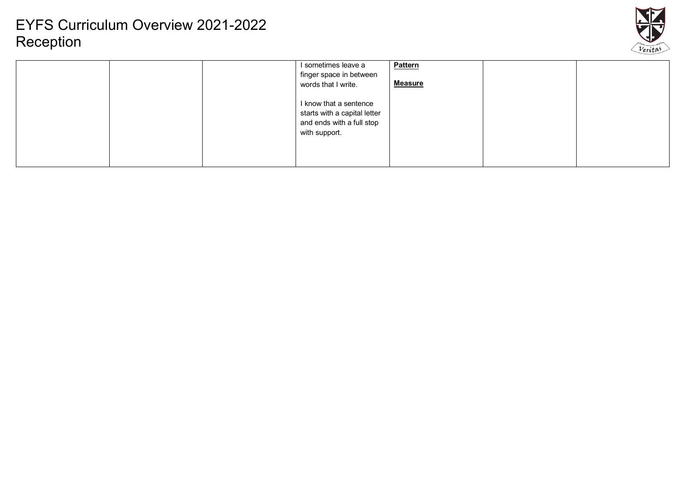

|  | I sometimes leave a<br>finger space in between<br>words that I write.                                | <b>Pattern</b><br><b>Measure</b> |  |
|--|------------------------------------------------------------------------------------------------------|----------------------------------|--|
|  | I know that a sentence<br>starts with a capital letter<br>and ends with a full stop<br>with support. |                                  |  |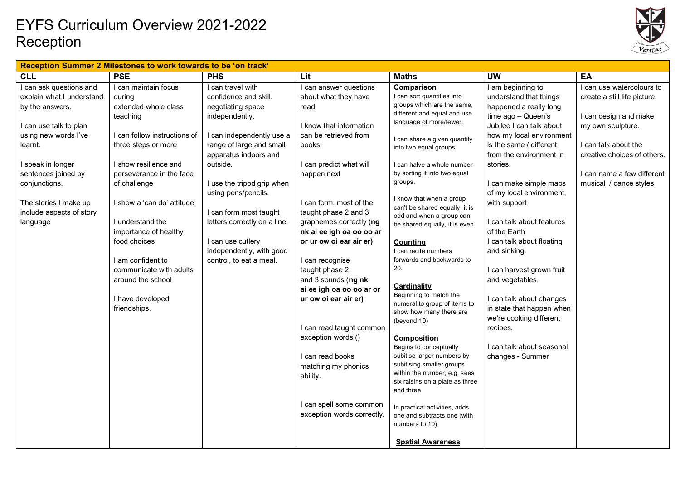

|                                                                                                                                                                                                                                                                    | Reception Summer 2 Milestones to work towards to be 'on track'                                                                                                                                                                                                                                                                                                                                     |                                                                                                                                                                                                                                                                                                                                                                            |                                                                                                                                                                                                                                                                                                                                                                                                                                                                                                                        |                                                                                                                                                                                                                                                                                                                                                                                                                                                                                                                                                                                                                                                                                                                     |                                                                                                                                                                                                                                                                                                                                                                                                                                                                                                                                                                                        |                                                                                                                                                                                                                        |
|--------------------------------------------------------------------------------------------------------------------------------------------------------------------------------------------------------------------------------------------------------------------|----------------------------------------------------------------------------------------------------------------------------------------------------------------------------------------------------------------------------------------------------------------------------------------------------------------------------------------------------------------------------------------------------|----------------------------------------------------------------------------------------------------------------------------------------------------------------------------------------------------------------------------------------------------------------------------------------------------------------------------------------------------------------------------|------------------------------------------------------------------------------------------------------------------------------------------------------------------------------------------------------------------------------------------------------------------------------------------------------------------------------------------------------------------------------------------------------------------------------------------------------------------------------------------------------------------------|---------------------------------------------------------------------------------------------------------------------------------------------------------------------------------------------------------------------------------------------------------------------------------------------------------------------------------------------------------------------------------------------------------------------------------------------------------------------------------------------------------------------------------------------------------------------------------------------------------------------------------------------------------------------------------------------------------------------|----------------------------------------------------------------------------------------------------------------------------------------------------------------------------------------------------------------------------------------------------------------------------------------------------------------------------------------------------------------------------------------------------------------------------------------------------------------------------------------------------------------------------------------------------------------------------------------|------------------------------------------------------------------------------------------------------------------------------------------------------------------------------------------------------------------------|
| <b>CLL</b>                                                                                                                                                                                                                                                         | <b>PSE</b>                                                                                                                                                                                                                                                                                                                                                                                         | <b>PHS</b>                                                                                                                                                                                                                                                                                                                                                                 | Lit                                                                                                                                                                                                                                                                                                                                                                                                                                                                                                                    | <b>Maths</b>                                                                                                                                                                                                                                                                                                                                                                                                                                                                                                                                                                                                                                                                                                        | <b>UW</b>                                                                                                                                                                                                                                                                                                                                                                                                                                                                                                                                                                              | EA                                                                                                                                                                                                                     |
| I can ask questions and<br>explain what I understand<br>by the answers.<br>I can use talk to plan<br>using new words I've<br>learnt.<br>I speak in longer<br>sentences joined by<br>conjunctions.<br>The stories I make up<br>include aspects of story<br>language | I can maintain focus<br>during<br>extended whole class<br>teaching<br>I can follow instructions of<br>three steps or more<br>I show resilience and<br>perseverance in the face<br>of challenge<br>I show a 'can do' attitude<br>I understand the<br>importance of healthy<br>food choices<br>I am confident to<br>communicate with adults<br>around the school<br>I have developed<br>friendships. | I can travel with<br>confidence and skill,<br>negotiating space<br>independently.<br>I can independently use a<br>range of large and small<br>apparatus indoors and<br>outside.<br>I use the tripod grip when<br>using pens/pencils.<br>I can form most taught<br>letters correctly on a line.<br>I can use cutlery<br>independently, with good<br>control, to eat a meal. | I can answer questions<br>about what they have<br>read<br>I know that information<br>can be retrieved from<br><b>books</b><br>I can predict what will<br>happen next<br>I can form, most of the<br>taught phase 2 and 3<br>graphemes correctly (ng<br>nk ai ee igh oa oo oo ar<br>or ur ow oi ear air er)<br>I can recognise<br>taught phase 2<br>and 3 sounds (ng nk<br>ai ee igh oa oo oo ar or<br>ur ow oi ear air er)<br>I can read taught common<br>exception words ()<br>I can read books<br>matching my phonics | Comparison<br>I can sort quantities into<br>groups which are the same,<br>different and equal and use<br>language of more/fewer.<br>I can share a given quantity<br>into two equal groups.<br>I can halve a whole number<br>by sorting it into two equal<br>groups.<br>I know that when a group<br>can't be shared equally, it is<br>odd and when a group can<br>be shared equally, it is even.<br><b>Counting</b><br>I can recite numbers<br>forwards and backwards to<br>20.<br><b>Cardinality</b><br>Beginning to match the<br>numeral to group of items to<br>show how many there are<br>(beyond 10)<br><b>Composition</b><br>Begins to conceptually<br>subitise larger numbers by<br>subitising smaller groups | I am beginning to<br>understand that things<br>happened a really long<br>time ago - Queen's<br>Jubilee I can talk about<br>how my local environment<br>is the same / different<br>from the environment in<br>stories.<br>I can make simple maps<br>of my local environment,<br>with support<br>I can talk about features<br>of the Earth<br>I can talk about floating<br>and sinking.<br>I can harvest grown fruit<br>and vegetables.<br>I can talk about changes<br>in state that happen when<br>we're cooking different<br>recipes.<br>I can talk about seasonal<br>changes - Summer | I can use watercolours to<br>create a still life picture.<br>I can design and make<br>my own sculpture.<br>I can talk about the<br>creative choices of others.<br>I can name a few different<br>musical / dance styles |
|                                                                                                                                                                                                                                                                    |                                                                                                                                                                                                                                                                                                                                                                                                    |                                                                                                                                                                                                                                                                                                                                                                            | ability.                                                                                                                                                                                                                                                                                                                                                                                                                                                                                                               | within the number, e.g. sees<br>six raisins on a plate as three<br>and three                                                                                                                                                                                                                                                                                                                                                                                                                                                                                                                                                                                                                                        |                                                                                                                                                                                                                                                                                                                                                                                                                                                                                                                                                                                        |                                                                                                                                                                                                                        |
|                                                                                                                                                                                                                                                                    |                                                                                                                                                                                                                                                                                                                                                                                                    |                                                                                                                                                                                                                                                                                                                                                                            | I can spell some common<br>exception words correctly.                                                                                                                                                                                                                                                                                                                                                                                                                                                                  | In practical activities, adds<br>one and subtracts one (with<br>numbers to 10)<br><b>Spatial Awareness</b>                                                                                                                                                                                                                                                                                                                                                                                                                                                                                                                                                                                                          |                                                                                                                                                                                                                                                                                                                                                                                                                                                                                                                                                                                        |                                                                                                                                                                                                                        |